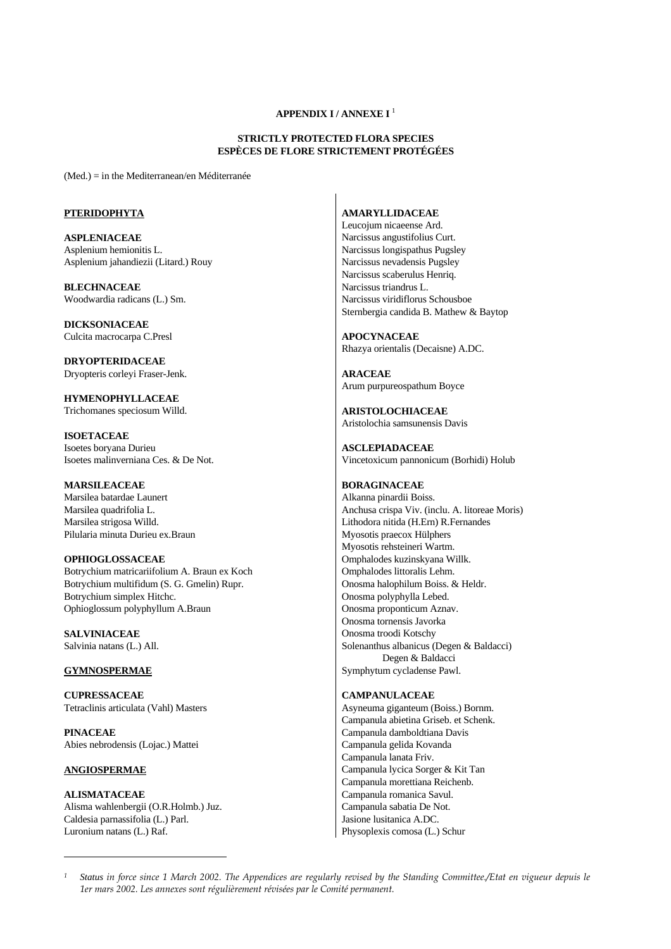# **APPENDIX I / ANNEXE I** <sup>1</sup>

## **STRICTLY PROTECTED FLORA SPECIES ESPÈCES DE FLORE STRICTEMENT PROTÉGÉES**

(Med.) = in the Mediterranean/en Méditerranée

## **PTERIDOPHYTA**

**ASPLENIACEAE** Asplenium hemionitis L. Asplenium jahandiezii (Litard.) Rouy

**BLECHNACEAE** Woodwardia radicans (L.) Sm.

**DICKSONIACEAE** Culcita macrocarpa C.Presl

**DRYOPTERIDACEAE** Dryopteris corleyi Fraser-Jenk.

**HYMENOPHYLLACEAE** Trichomanes speciosum Willd.

**ISOETACEAE** Isoetes boryana Durieu Isoetes malinverniana Ces. & De Not.

**MARSILEACEAE** Marsilea batardae Launert Marsilea quadrifolia L. Marsilea strigosa Willd. Pilularia minuta Durieu ex.Braun

**OPHIOGLOSSACEAE** Botrychium matricariifolium A. Braun ex Koch Botrychium multifidum (S. G. Gmelin) Rupr. Botrychium simplex Hitchc. Ophioglossum polyphyllum A.Braun

**SALVINIACEAE** Salvinia natans (L.) All.

## **GYMNOSPERMAE**

**CUPRESSACEAE**  Tetraclinis articulata (Vahl) Masters

**PINACEAE**  Abies nebrodensis (Lojac.) Mattei

# **ANGIOSPERMAE**

**ALISMATACEAE** Alisma wahlenbergii (O.R.Holmb.) Juz. Caldesia parnassifolia (L.) Parl. Luronium natans (L.) Raf.

# **AMARYLLIDACEAE**

Leucojum nicaeense Ard. Narcissus angustifolius Curt. Narcissus longispathus Pugsley Narcissus nevadensis Pugsley Narcissus scaberulus Henriq. Narcissus triandrus L. Narcissus viridiflorus Schousboe Sternbergia candida B. Mathew & Baytop

**APOCYNACEAE** Rhazya orientalis (Decaisne) A.DC.

**ARACEAE** Arum purpureospathum Boyce

**ARISTOLOCHIACEAE** Aristolochia samsunensis Davis

**ASCLEPIADACEAE** Vincetoxicum pannonicum (Borhidi) Holub

## **BORAGINACEAE**

Alkanna pinardii Boiss. Anchusa crispa Viv. (inclu. A. litoreae Moris) Lithodora nitida (H.Ern) R.Fernandes Myosotis praecox Hülphers Myosotis rehsteineri Wartm. Omphalodes kuzinskyana Willk. Omphalodes littoralis Lehm. Onosma halophilum Boiss. & Heldr. Onosma polyphylla Lebed. Onosma proponticum Aznav. Onosma tornensis Javorka Onosma troodi Kotschy Solenanthus albanicus (Degen & Baldacci) Degen & Baldacci Symphytum cycladense Pawl.

# **CAMPANULACEAE**

Asyneuma giganteum (Boiss.) Bornm. Campanula abietina Griseb. et Schenk. Campanula damboldtiana Davis Campanula gelida Kovanda Campanula lanata Friv. Campanula lycica Sorger & Kit Tan Campanula morettiana Reichenb. Campanula romanica Savul. Campanula sabatia De Not. Jasione lusitanica A.DC. Physoplexis comosa (L.) Schur

*<sup>1</sup> Status in force since 1 March 2002. The Appendices are regularly revised by the Standing Committee./Etat en vigueur depuis le 1er mars 2002. Les annexes sont régulièrement révisées par le Comité permanent.*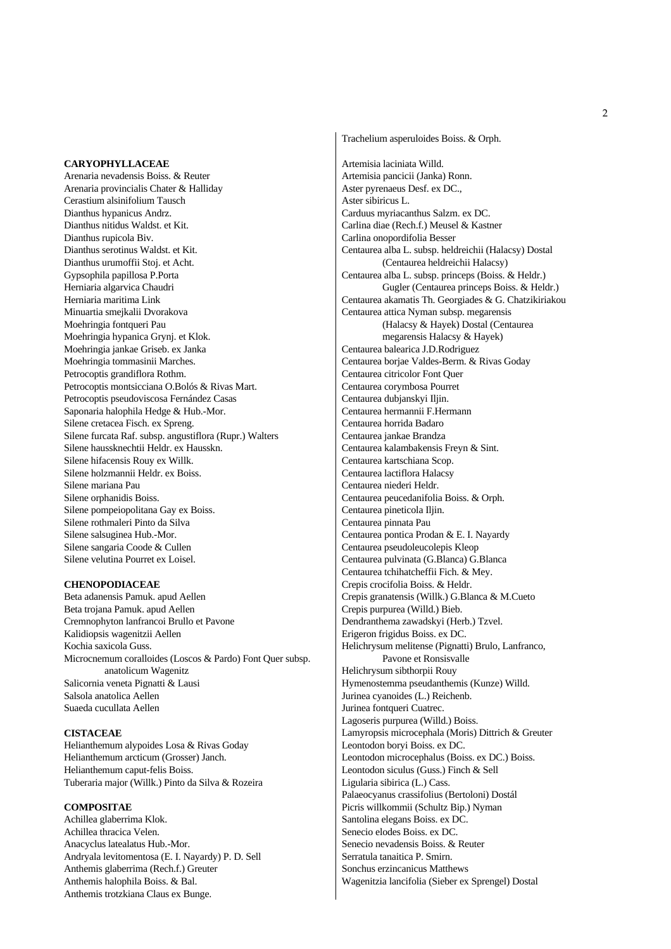## **CARYOPHYLLACEAE**

Arenaria nevadensis Boiss. & Reuter Arenaria provincialis Chater & Halliday Cerastium alsinifolium Tausch Dianthus hypanicus Andrz. Dianthus nitidus Waldst. et Kit. Dianthus rupicola Biv. Dianthus serotinus Waldst. et Kit. Dianthus urumoffii Stoj. et Acht. Gypsophila papillosa P.Porta Herniaria algarvica Chaudri Herniaria maritima Link Minuartia smejkalii Dvorakova Moehringia fontqueri Pau Moehringia hypanica Grynj. et Klok. Moehringia jankae Griseb. ex Janka Moehringia tommasinii Marches. Petrocoptis grandiflora Rothm. Petrocoptis montsicciana O.Bolós & Rivas Mart. Petrocoptis pseudoviscosa Fernández Casas Saponaria halophila Hedge & Hub.-Mor. Silene cretacea Fisch. ex Spreng. Silene furcata Raf. subsp. angustiflora (Rupr.) Walters Silene haussknechtii Heldr. ex Hausskn. Silene hifacensis Rouy ex Willk. Silene holzmannii Heldr. ex Boiss. Silene mariana Pau Silene orphanidis Boiss. Silene pompeiopolitana Gay ex Boiss. Silene rothmaleri Pinto da Silva Silene salsuginea Hub.-Mor. Silene sangaria Coode & Cullen Silene velutina Pourret ex Loisel.

# **CHENOPODIACEAE**

Beta adanensis Pamuk. apud Aellen Beta trojana Pamuk. apud Aellen Cremnophyton lanfrancoi Brullo et Pavone Kalidiopsis wagenitzii Aellen Kochia saxicola Guss. Microcnemum coralloides (Loscos & Pardo) Font Quer subsp. anatolicum Wagenitz Salicornia veneta Pignatti & Lausi Salsola anatolica Aellen Suaeda cucullata Aellen

## **CISTACEAE**

Helianthemum alypoides Losa & Rivas Goday Helianthemum arcticum (Grosser) Janch. Helianthemum caput-felis Boiss. Tuberaria major (Willk.) Pinto da Silva & Rozeira

# **COMPOSITAE**

Achillea glaberrima Klok. Achillea thracica Velen. Anacyclus latealatus Hub.-Mor. Andryala levitomentosa (E. I. Nayardy) P. D. Sell Anthemis glaberrima (Rech.f.) Greuter Anthemis halophila Boiss. & Bal. Anthemis trotzkiana Claus ex Bunge.

Artemisia laciniata Willd. Artemisia pancicii (Janka) Ronn. Aster pyrenaeus Desf. ex DC., Aster sibiricus L. Carduus myriacanthus Salzm. ex DC. Carlina diae (Rech.f.) Meusel & Kastner Carlina onopordifolia Besser Centaurea alba L. subsp. heldreichii (Halacsy) Dostal (Centaurea heldreichii Halacsy) Centaurea alba L. subsp. princeps (Boiss. & Heldr.) Gugler (Centaurea princeps Boiss. & Heldr.) Centaurea akamatis Th. Georgiades & G. Chatzikiriakou Centaurea attica Nyman subsp. megarensis (Halacsy & Hayek) Dostal (Centaurea megarensis Halacsy & Hayek) Centaurea balearica J.D.Rodriguez Centaurea borjae Valdes-Berm. & Rivas Goday Centaurea citricolor Font Quer Centaurea corymbosa Pourret Centaurea dubjanskyi Iljin. Centaurea hermannii F.Hermann Centaurea horrida Badaro Centaurea jankae Brandza Centaurea kalambakensis Freyn & Sint. Centaurea kartschiana Scop. Centaurea lactiflora Halacsy Centaurea niederi Heldr. Centaurea peucedanifolia Boiss. & Orph. Centaurea pineticola Iljin. Centaurea pinnata Pau Centaurea pontica Prodan & E. I. Nayardy Centaurea pseudoleucolepis Kleop Centaurea pulvinata (G.Blanca) G.Blanca Centaurea tchihatcheffii Fich. & Mey. Crepis crocifolia Boiss. & Heldr. Crepis granatensis (Willk.) G.Blanca & M.Cueto Crepis purpurea (Willd.) Bieb. Dendranthema zawadskyi (Herb.) Tzvel. Erigeron frigidus Boiss. ex DC. Helichrysum melitense (Pignatti) Brulo, Lanfranco, Pavone et Ronsisvalle Helichrysum sibthorpii Rouy Hymenostemma pseudanthemis (Kunze) Willd. Jurinea cyanoides (L.) Reichenb. Jurinea fontqueri Cuatrec. Lagoseris purpurea (Willd.) Boiss. Lamyropsis microcephala (Moris) Dittrich & Greuter Leontodon boryi Boiss. ex DC. Leontodon microcephalus (Boiss. ex DC.) Boiss. Leontodon siculus (Guss.) Finch & Sell Ligularia sibirica (L.) Cass. Palaeocyanus crassifolius (Bertoloni) Dostál Picris willkommii (Schultz Bip.) Nyman Santolina elegans Boiss. ex DC. Senecio elodes Boiss. ex DC. Senecio nevadensis Boiss. & Reuter Serratula tanaitica P. Smirn. Sonchus erzincanicus Matthews

Wagenitzia lancifolia (Sieber ex Sprengel) Dostal

Trachelium asperuloides Boiss. & Orph.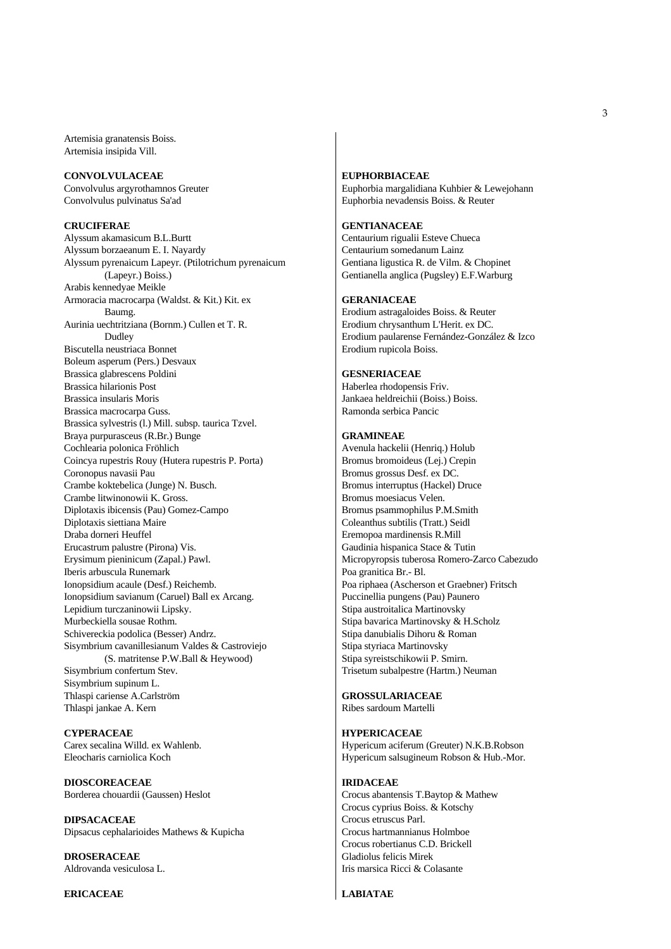Artemisia granatensis Boiss. Artemisia insipida Vill.

#### **CONVOLVULACEAE**

Convolvulus argyrothamnos Greuter Convolvulus pulvinatus Sa'ad

## **CRUCIFERAE**

Alyssum akamasicum B.L.Burtt Alyssum borzaeanum E. I. Nayardy Alyssum pyrenaicum Lapeyr. (Ptilotrichum pyrenaicum (Lapeyr.) Boiss.) Arabis kennedyae Meikle Armoracia macrocarpa (Waldst. & Kit.) Kit. ex Baumg. Aurinia uechtritziana (Bornm.) Cullen et T. R. Dudley Biscutella neustriaca Bonnet Boleum asperum (Pers.) Desvaux Brassica glabrescens Poldini Brassica hilarionis Post Brassica insularis Moris Brassica macrocarpa Guss. Brassica sylvestris (l.) Mill. subsp. taurica Tzvel. Braya purpurasceus (R.Br.) Bunge Cochlearia polonica Fröhlich Coincya rupestris Rouy (Hutera rupestris P. Porta) Coronopus navasii Pau Crambe koktebelica (Junge) N. Busch. Crambe litwinonowii K. Gross. Diplotaxis ibicensis (Pau) Gomez-Campo Diplotaxis siettiana Maire Draba dorneri Heuffel Erucastrum palustre (Pirona) Vis. Erysimum pieninicum (Zapal.) Pawl. Iberis arbuscula Runemark Ionopsidium acaule (Desf.) Reichemb. Ionopsidium savianum (Caruel) Ball ex Arcang. Lepidium turczaninowii Lipsky. Murbeckiella sousae Rothm. Schivereckia podolica (Besser) Andrz. Sisymbrium cavanillesianum Valdes & Castroviejo (S. matritense P.W.Ball & Heywood) Sisymbrium confertum Stev. Sisymbrium supinum L. Thlaspi cariense A.Carlström Thlaspi jankae A. Kern

**CYPERACEAE** Carex secalina Willd. ex Wahlenb. Eleocharis carniolica Koch

**DIOSCOREACEAE** Borderea chouardii (Gaussen) Heslot

**DIPSACACEAE** Dipsacus cephalarioides Mathews & Kupicha

**DROSERACEAE** Aldrovanda vesiculosa L.

## **ERICACEAE**

# **EUPHORBIACEAE**

Euphorbia margalidiana Kuhbier & Lewejohann Euphorbia nevadensis Boiss. & Reuter

## **GENTIANACEAE**

Centaurium rigualii Esteve Chueca Centaurium somedanum Lainz Gentiana ligustica R. de Vilm. & Chopinet Gentianella anglica (Pugsley) E.F.Warburg

## **GERANIACEAE**

Erodium astragaloides Boiss. & Reuter Erodium chrysanthum L'Herit. ex DC. Erodium paularense Fernández-González & Izco Erodium rupicola Boiss.

## **GESNERIACEAE**

Haberlea rhodopensis Friv. Jankaea heldreichii (Boiss.) Boiss. Ramonda serbica Pancic

## **GRAMINEAE**

Avenula hackelii (Henriq.) Holub Bromus bromoideus (Lej.) Crepin Bromus grossus Desf. ex DC. Bromus interruptus (Hackel) Druce Bromus moesiacus Velen. Bromus psammophilus P.M.Smith Coleanthus subtilis (Tratt.) Seidl Eremopoa mardinensis R.Mill Gaudinia hispanica Stace & Tutin Micropyropsis tuberosa Romero-Zarco Cabezudo Poa granitica Br.- Bl. Poa riphaea (Ascherson et Graebner) Fritsch Puccinellia pungens (Pau) Paunero Stipa austroitalica Martinovsky Stipa bavarica Martinovsky & H.Scholz Stipa danubialis Dihoru & Roman Stipa styriaca Martinovsky Stipa syreistschikowii P. Smirn. Trisetum subalpestre (Hartm.) Neuman

**GROSSULARIACEAE** Ribes sardoum Martelli

### **HYPERICACEAE**

Hypericum aciferum (Greuter) N.K.B.Robson Hypericum salsugineum Robson & Hub.-Mor.

#### **IRIDACEAE**

Crocus abantensis T.Baytop & Mathew Crocus cyprius Boiss. & Kotschy Crocus etruscus Parl. Crocus hartmannianus Holmboe Crocus robertianus C.D. Brickell Gladiolus felicis Mirek Iris marsica Ricci & Colasante

## **LABIATAE**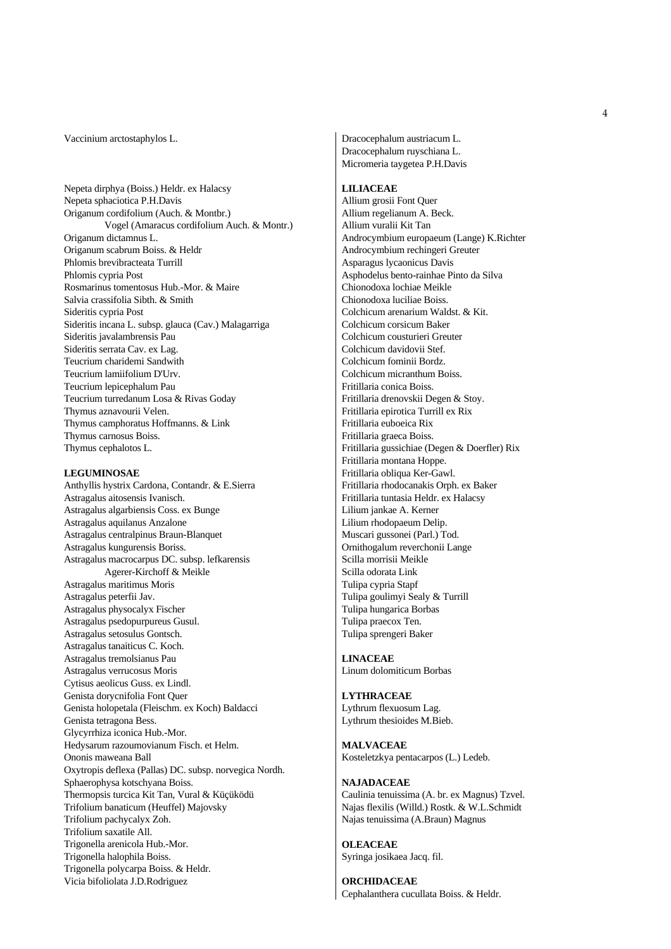#### Vaccinium arctostaphylos L.

Nepeta dirphya (Boiss.) Heldr. ex Halacsy Nepeta sphaciotica P.H.Davis Origanum cordifolium (Auch. & Montbr.) Vogel (Amaracus cordifolium Auch. & Montr.) Origanum dictamnus L. Origanum scabrum Boiss. & Heldr Phlomis brevibracteata Turrill Phlomis cypria Post Rosmarinus tomentosus Hub.-Mor. & Maire Salvia crassifolia Sibth. & Smith Sideritis cypria Post Sideritis incana L. subsp. glauca (Cav.) Malagarriga Sideritis javalambrensis Pau Sideritis serrata Cav. ex Lag. Teucrium charidemi Sandwith Teucrium lamiifolium D'Urv. Teucrium lepicephalum Pau Teucrium turredanum Losa & Rivas Goday Thymus aznavourii Velen. Thymus camphoratus Hoffmanns. & Link Thymus carnosus Boiss. Thymus cephalotos L.

#### **LEGUMINOSAE**

Anthyllis hystrix Cardona, Contandr. & E.Sierra Astragalus aitosensis Ivanisch. Astragalus algarbiensis Coss. ex Bunge Astragalus aquilanus Anzalone Astragalus centralpinus Braun-Blanquet Astragalus kungurensis Boriss. Astragalus macrocarpus DC. subsp. lefkarensis Agerer-Kirchoff & Meikle Astragalus maritimus Moris Astragalus peterfii Jav. Astragalus physocalyx Fischer Astragalus psedopurpureus Gusul. Astragalus setosulus Gontsch. Astragalus tanaiticus C. Koch. Astragalus tremolsianus Pau Astragalus verrucosus Moris Cytisus aeolicus Guss. ex Lindl. Genista dorycnifolia Font Quer Genista holopetala (Fleischm. ex Koch) Baldacci Genista tetragona Bess. Glycyrrhiza iconica Hub.-Mor. Hedysarum razoumovianum Fisch. et Helm. Ononis maweana Ball Oxytropis deflexa (Pallas) DC. subsp. norvegica Nordh. Sphaerophysa kotschyana Boiss. Thermopsis turcica Kit Tan, Vural & Küçüködü Trifolium banaticum (Heuffel) Majovsky Trifolium pachycalyx Zoh. Trifolium saxatile All. Trigonella arenicola Hub.-Mor. Trigonella halophila Boiss. Trigonella polycarpa Boiss. & Heldr. Vicia bifoliolata J.D.Rodriguez

Dracocephalum austriacum L. Dracocephalum ruyschiana L. Micromeria taygetea P.H.Davis

## **LILIACEAE**

Allium grosii Font Quer Allium regelianum A. Beck. Allium vuralii Kit Tan Androcymbium europaeum (Lange) K.Richter Androcymbium rechingeri Greuter Asparagus lycaonicus Davis Asphodelus bento-rainhae Pinto da Silva Chionodoxa lochiae Meikle Chionodoxa luciliae Boiss. Colchicum arenarium Waldst. & Kit. Colchicum corsicum Baker Colchicum cousturieri Greuter Colchicum davidovii Stef. Colchicum fominii Bordz. Colchicum micranthum Boiss. Fritillaria conica Boiss. Fritillaria drenovskii Degen & Stoy. Fritillaria epirotica Turrill ex Rix Fritillaria euboeica Rix Fritillaria graeca Boiss. Fritillaria gussichiae (Degen & Doerfler) Rix Fritillaria montana Hoppe. Fritillaria obliqua Ker-Gawl. Fritillaria rhodocanakis Orph. ex Baker Fritillaria tuntasia Heldr. ex Halacsy Lilium jankae A. Kerner Lilium rhodopaeum Delip. Muscari gussonei (Parl.) Tod. Ornithogalum reverchonii Lange Scilla morrisii Meikle Scilla odorata Link Tulipa cypria Stapf Tulipa goulimyi Sealy & Turrill Tulipa hungarica Borbas Tulipa praecox Ten. Tulipa sprengeri Baker

**LINACEAE** Linum dolomiticum Borbas

**LYTHRACEAE** Lythrum flexuosum Lag. Lythrum thesioides M.Bieb.

**MALVACEAE** Kosteletzkya pentacarpos (L.) Ledeb.

# **NAJADACEAE** Caulinia tenuissima (A. br. ex Magnus) Tzvel. Najas flexilis (Willd.) Rostk. & W.L.Schmidt Najas tenuissima (A.Braun) Magnus

**OLEACEAE** Syringa josikaea Jacq. fil.

**ORCHIDACEAE**  Cephalanthera cucullata Boiss. & Heldr.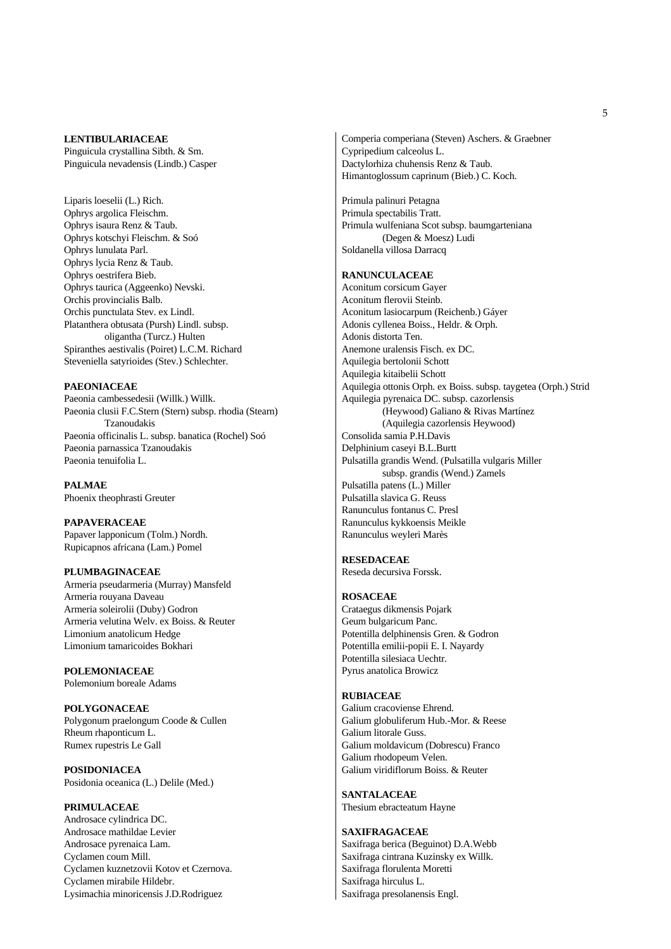### **LENTIBULARIACEAE**

Pinguicula crystallina Sibth. & Sm. Pinguicula nevadensis (Lindb.) Casper

Liparis loeselii (L.) Rich. Ophrys argolica Fleischm. Ophrys isaura Renz & Taub. Ophrys kotschyi Fleischm. & Soó Ophrys lunulata Parl. Ophrys lycia Renz & Taub. Ophrys oestrifera Bieb. Ophrys taurica (Aggeenko) Nevski. Orchis provincialis Balb. Orchis punctulata Stev. ex Lindl. Platanthera obtusata (Pursh) Lindl. subsp. oligantha (Turcz.) Hulten Spiranthes aestivalis (Poiret) L.C.M. Richard Steveniella satyrioides (Stev.) Schlechter.

## **PAEONIACEAE**

Paeonia cambessedesii (Willk.) Willk. Paeonia clusii F.C.Stern (Stern) subsp. rhodia (Stearn) Tzanoudakis Paeonia officinalis L. subsp. banatica (Rochel) Soó Paeonia parnassica Tzanoudakis Paeonia tenuifolia L.

**PALMAE** Phoenix theophrasti Greuter

**PAPAVERACEAE**  Papaver lapponicum (Tolm.) Nordh. Rupicapnos africana (Lam.) Pomel

# **PLUMBAGINACEAE**

Armeria pseudarmeria (Murray) Mansfeld Armeria rouyana Daveau Armeria soleirolii (Duby) Godron Armeria velutina Welv. ex Boiss. & Reuter Limonium anatolicum Hedge Limonium tamaricoides Bokhari

**POLEMONIACEAE**  Polemonium boreale Adams

**POLYGONACEAE**  Polygonum praelongum Coode & Cullen Rheum rhaponticum L. Rumex rupestris Le Gall

**POSIDONIACEA** Posidonia oceanica (L.) Delile (Med.)

**PRIMULACEAE** Androsace cylindrica DC. Androsace mathildae Levier Androsace pyrenaica Lam. Cyclamen coum Mill. Cyclamen kuznetzovii Kotov et Czernova. Cyclamen mirabile Hildebr. Lysimachia minoricensis J.D.Rodriguez

Comperia comperiana (Steven) Aschers. & Graebner Cypripedium calceolus L. Dactylorhiza chuhensis Renz & Taub. Himantoglossum caprinum (Bieb.) C. Koch.

Primula palinuri Petagna Primula spectabilis Tratt. Primula wulfeniana Scot subsp. baumgarteniana (Degen & Moesz) Ludi Soldanella villosa Darracq

# **RANUNCULACEAE**

Aconitum corsicum Gayer Aconitum flerovii Steinb. Aconitum lasiocarpum (Reichenb.) Gáyer Adonis cyllenea Boiss., Heldr. & Orph. Adonis distorta Ten. Anemone uralensis Fisch. ex DC. Aquilegia bertolonii Schott Aquilegia kitaibelii Schott Aquilegia ottonis Orph. ex Boiss. subsp. taygetea (Orph.) Strid Aquilegia pyrenaica DC. subsp. cazorlensis (Heywood) Galiano & Rivas Martínez (Aquilegia cazorlensis Heywood) Consolida samia P.H.Davis Delphinium caseyi B.L.Burtt Pulsatilla grandis Wend. (Pulsatilla vulgaris Miller subsp. grandis (Wend.) Zamels Pulsatilla patens (L.) Miller Pulsatilla slavica G. Reuss Ranunculus fontanus C. Presl Ranunculus kykkoensis Meikle Ranunculus weyleri Marès

# **RESEDACEAE**

Reseda decursiva Forssk.

# **ROSACEAE**

Crataegus dikmensis Pojark Geum bulgaricum Panc. Potentilla delphinensis Gren. & Godron Potentilla emilii-popii E. I. Nayardy Potentilla silesiaca Uechtr. Pyrus anatolica Browicz

# **RUBIACEAE**

Galium cracoviense Ehrend. Galium globuliferum Hub.-Mor. & Reese Galium litorale Guss. Galium moldavicum (Dobrescu) Franco Galium rhodopeum Velen. Galium viridiflorum Boiss. & Reuter

**SANTALACEAE** Thesium ebracteatum Hayne

#### **SAXIFRAGACEAE**

Saxifraga berica (Beguinot) D.A.Webb Saxifraga cintrana Kuzinsky ex Willk. Saxifraga florulenta Moretti Saxifraga hirculus L. Saxifraga presolanensis Engl.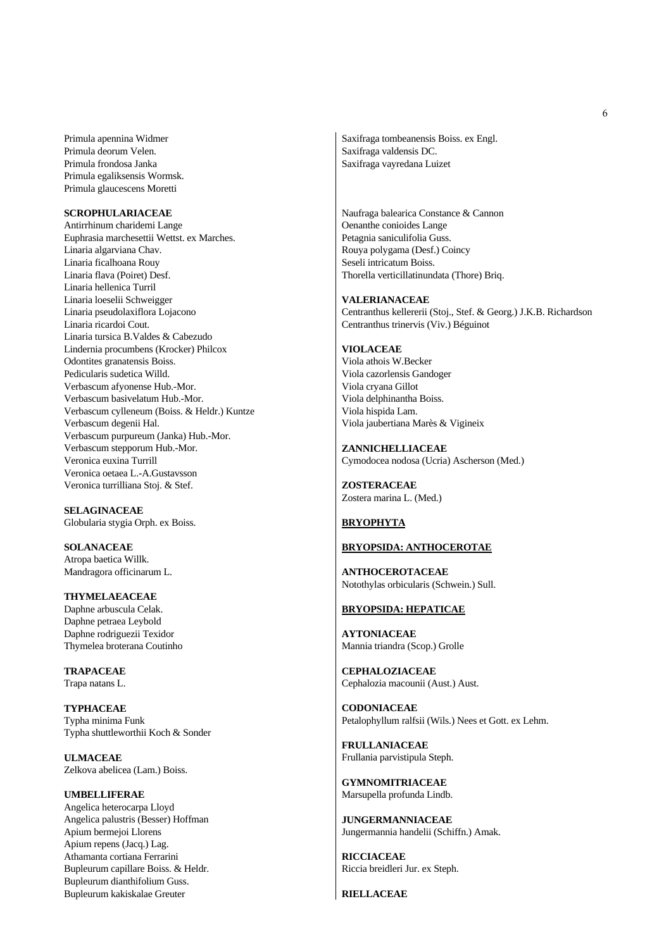Primula apennina Widmer Primula deorum Velen. Primula frondosa Janka Primula egaliksensis Wormsk. Primula glaucescens Moretti

# **SCROPHULARIACEAE**

Antirrhinum charidemi Lange Euphrasia marchesettii Wettst. ex Marches. Linaria algarviana Chav. Linaria ficalhoana Rouy Linaria flava (Poiret) Desf. Linaria hellenica Turril Linaria loeselii Schweigger Linaria pseudolaxiflora Lojacono Linaria ricardoi Cout. Linaria tursica B.Valdes & Cabezudo Lindernia procumbens (Krocker) Philcox Odontites granatensis Boiss. Pedicularis sudetica Willd. Verbascum afyonense Hub.-Mor. Verbascum basivelatum Hub.-Mor. Verbascum cylleneum (Boiss. & Heldr.) Kuntze Verbascum degenii Hal. Verbascum purpureum (Janka) Hub.-Mor. Verbascum stepporum Hub.-Mor. Veronica euxina Turrill Veronica oetaea L.-A.Gustavsson Veronica turrilliana Stoj. & Stef.

**SELAGINACEAE** Globularia stygia Orph. ex Boiss.

**SOLANACEAE** Atropa baetica Willk. Mandragora officinarum L.

**THYMELAEACEAE** Daphne arbuscula Celak. Daphne petraea Leybold Daphne rodriguezii Texidor Thymelea broterana Coutinho

**TRAPACEAE** Trapa natans L.

**TYPHACEAE** Typha minima Funk Typha shuttleworthii Koch & Sonder

**ULMACEAE** Zelkova abelicea (Lam.) Boiss.

**UMBELLIFERAE** Angelica heterocarpa Lloyd Angelica palustris (Besser) Hoffman Apium bermejoi Llorens Apium repens (Jacq.) Lag. Athamanta cortiana Ferrarini Bupleurum capillare Boiss. & Heldr. Bupleurum dianthifolium Guss. Bupleurum kakiskalae Greuter

Saxifraga tombeanensis Boiss. ex Engl. Saxifraga valdensis DC. Saxifraga vayredana Luizet

Naufraga balearica Constance & Cannon Oenanthe conioides Lange Petagnia saniculifolia Guss. Rouya polygama (Desf.) Coincy Seseli intricatum Boiss. Thorella verticillatinundata (Thore) Briq.

#### **VALERIANACEAE**

Centranthus kellererii (Stoj., Stef. & Georg.) J.K.B. Richardson Centranthus trinervis (Viv.) Béguinot

## **VIOLACEAE**

Viola athois W.Becker Viola cazorlensis Gandoger Viola cryana Gillot Viola delphinantha Boiss. Viola hispida Lam. Viola jaubertiana Marès & Vigineix

**ZANNICHELLIACEAE**  Cymodocea nodosa (Ucria) Ascherson (Med.)

**ZOSTERACEAE**  Zostera marina L. (Med.)

# **BRYOPHYTA**

## **BRYOPSIDA: ANTHOCEROTAE**

**ANTHOCEROTACEAE** Notothylas orbicularis (Schwein.) Sull.

# **BRYOPSIDA: HEPATICAE**

**AYTONIACEAE** Mannia triandra (Scop.) Grolle

**CEPHALOZIACEAE** Cephalozia macounii (Aust.) Aust.

**CODONIACEAE** Petalophyllum ralfsii (Wils.) Nees et Gott. ex Lehm.

**FRULLANIACEAE** Frullania parvistipula Steph.

**GYMNOMITRIACEAE** Marsupella profunda Lindb.

**JUNGERMANNIACEAE** Jungermannia handelii (Schiffn.) Amak.

**RICCIACEAE** Riccia breidleri Jur. ex Steph.

**RIELLACEAE**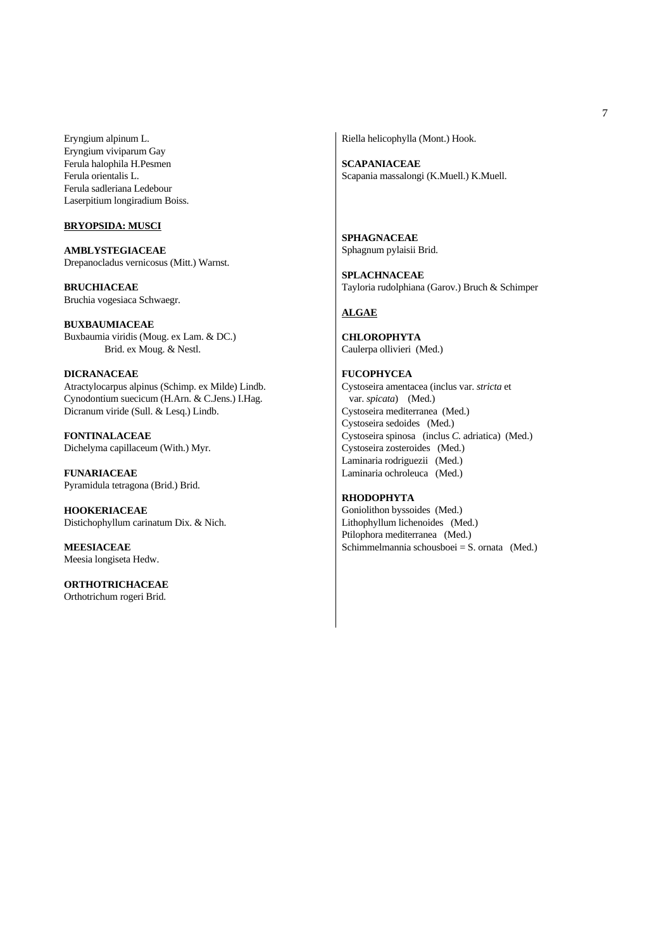Eryngium alpinum L. Eryngium viviparum Gay Ferula halophila H.Pesmen Ferula orientalis L. Ferula sadleriana Ledebour Laserpitium longiradium Boiss.

# **BRYOPSIDA: MUSCI**

**AMBLYSTEGIACEAE** Drepanocladus vernicosus (Mitt.) Warnst.

**BRUCHIACEAE** Bruchia vogesiaca Schwaegr.

**BUXBAUMIACEAE** Buxbaumia viridis (Moug. ex Lam. & DC.) Brid. ex Moug. & Nestl.

**DICRANACEAE** Atractylocarpus alpinus (Schimp. ex Milde) Lindb. Cynodontium suecicum (H.Arn. & C.Jens.) I.Hag. Dicranum viride (Sull. & Lesq.) Lindb.

**FONTINALACEAE** Dichelyma capillaceum (With.) Myr.

**FUNARIACEAE** Pyramidula tetragona (Brid.) Brid.

**HOOKERIACEAE** Distichophyllum carinatum Dix. & Nich.

**MEESIACEAE** Meesia longiseta Hedw.

**ORTHOTRICHACEAE** Orthotrichum rogeri Brid.

Riella helicophylla (Mont.) Hook.

**SCAPANIACEAE** Scapania massalongi (K.Muell.) K.Muell.

**SPHAGNACEAE** Sphagnum pylaisii Brid.

**SPLACHNACEAE** Tayloria rudolphiana (Garov.) Bruch & Schimper

# **ALGAE**

**CHLOROPHYTA** Caulerpa ollivieri (Med.)

**FUCOPHYCEA** Cystoseira amentacea (inclus var. *stricta* et var. *spicata*) (Med.) Cystoseira mediterranea (Med.) Cystoseira sedoides (Med.) Cystoseira spinosa (inclus *C.* adriatica) (Med.) Cystoseira zosteroides (Med.) Laminaria rodriguezii (Med.) Laminaria ochroleuca (Med.)

# **RHODOPHYTA**

Goniolithon byssoides (Med.) Lithophyllum lichenoides (Med.) Ptilophora mediterranea (Med.) Schimmelmannia schousboei = S. ornata (Med.)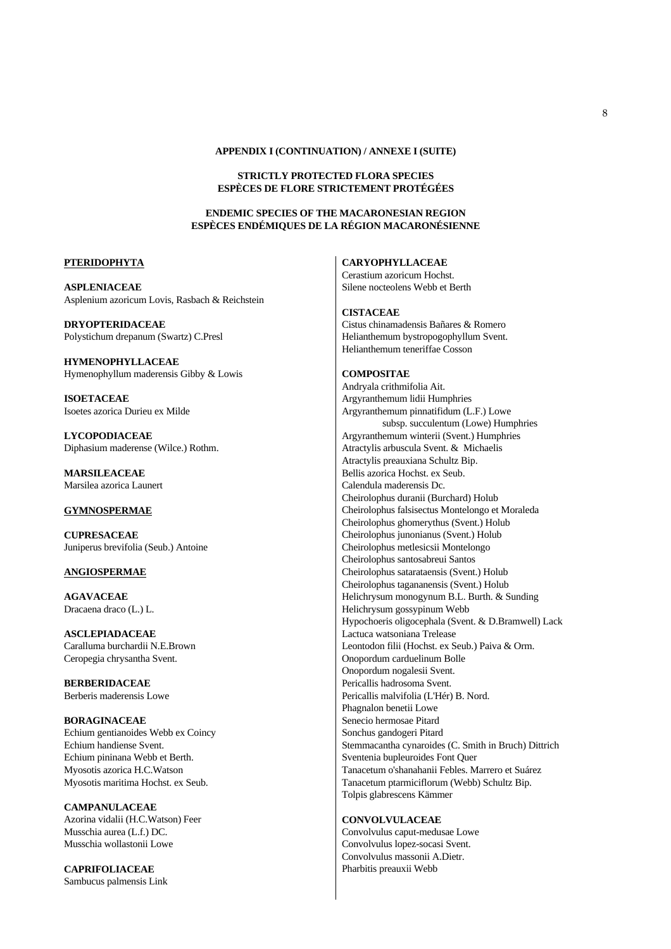#### **APPENDIX I (CONTINUATION) / ANNEXE I (SUITE)**

## **STRICTLY PROTECTED FLORA SPECIES ESPÈCES DE FLORE STRICTEMENT PROTÉGÉES**

# **ENDEMIC SPECIES OF THE MACARONESIAN REGION ESPÈCES ENDÉMIQUES DE LA RÉGION MACARONÉSIENNE**

## **PTERIDOPHYTA**

**ASPLENIACEAE** Asplenium azoricum Lovis, Rasbach & Reichstein

**DRYOPTERIDACEAE** Polystichum drepanum (Swartz) C.Presl

**HYMENOPHYLLACEAE** Hymenophyllum maderensis Gibby & Lowis

**ISOETACEAE** Isoetes azorica Durieu ex Milde

**LYCOPODIACEAE** Diphasium maderense (Wilce.) Rothm.

**MARSILEACEAE** Marsilea azorica Launert

# **GYMNOSPERMAE**

**CUPRESACEAE** Juniperus brevifolia (Seub.) Antoine

# **ANGIOSPERMAE**

**AGAVACEAE** Dracaena draco (L.) L.

**ASCLEPIADACEAE** Caralluma burchardii N.E.Brown Ceropegia chrysantha Svent.

**BERBERIDACEAE** Berberis maderensis Lowe

**BORAGINACEAE** Echium gentianoides Webb ex Coincy Echium handiense Svent. Echium pininana Webb et Berth. Myosotis azorica H.C.Watson Myosotis maritima Hochst. ex Seub.

**CAMPANULACEAE** Azorina vidalii (H.C.Watson) Feer Musschia aurea (L.f.) DC. Musschia wollastonii Lowe

**CAPRIFOLIACEAE** Sambucus palmensis Link

## **CARYOPHYLLACEAE**

Cerastium azoricum Hochst. Silene nocteolens Webb et Berth

#### **CISTACEAE**

Cistus chinamadensis Bañares & Romero Helianthemum bystropogophyllum Svent. Helianthemum teneriffae Cosson

## **COMPOSITAE**

Andryala crithmifolia Ait. Argyranthemum lidii Humphries Argyranthemum pinnatifidum (L.F.) Lowe subsp. succulentum (Lowe) Humphries Argyranthemum winterii (Svent.) Humphries Atractylis arbuscula Svent. & Michaelis Atractylis preauxiana Schultz Bip. Bellis azorica Hochst. ex Seub. Calendula maderensis Dc. Cheirolophus duranii (Burchard) Holub Cheirolophus falsisectus Montelongo et Moraleda Cheirolophus ghomerythus (Svent.) Holub Cheirolophus junonianus (Svent.) Holub Cheirolophus metlesicsii Montelongo Cheirolophus santosabreui Santos Cheirolophus satarataensis (Svent.) Holub Cheirolophus tagananensis (Svent.) Holub Helichrysum monogynum B.L. Burth. & Sunding Helichrysum gossypinum Webb Hypochoeris oligocephala (Svent. & D.Bramwell) Lack Lactuca watsoniana Trelease Leontodon filii (Hochst. ex Seub.) Paiva & Orm. Onopordum carduelinum Bolle Onopordum nogalesii Svent. Pericallis hadrosoma Svent. Pericallis malvifolia (L'Hér) B. Nord. Phagnalon benetii Lowe Senecio hermosae Pitard Sonchus gandogeri Pitard Stemmacantha cynaroides (C. Smith in Bruch) Dittrich Sventenia bupleuroides Font Quer Tanacetum o'shanahanii Febles. Marrero et Suárez Tanacetum ptarmiciflorum (Webb) Schultz Bip. Tolpis glabrescens Kämmer

# **CONVOLVULACEAE**

Convolvulus caput-medusae Lowe Convolvulus lopez-socasi Svent. Convolvulus massonii A.Dietr. Pharbitis preauxii Webb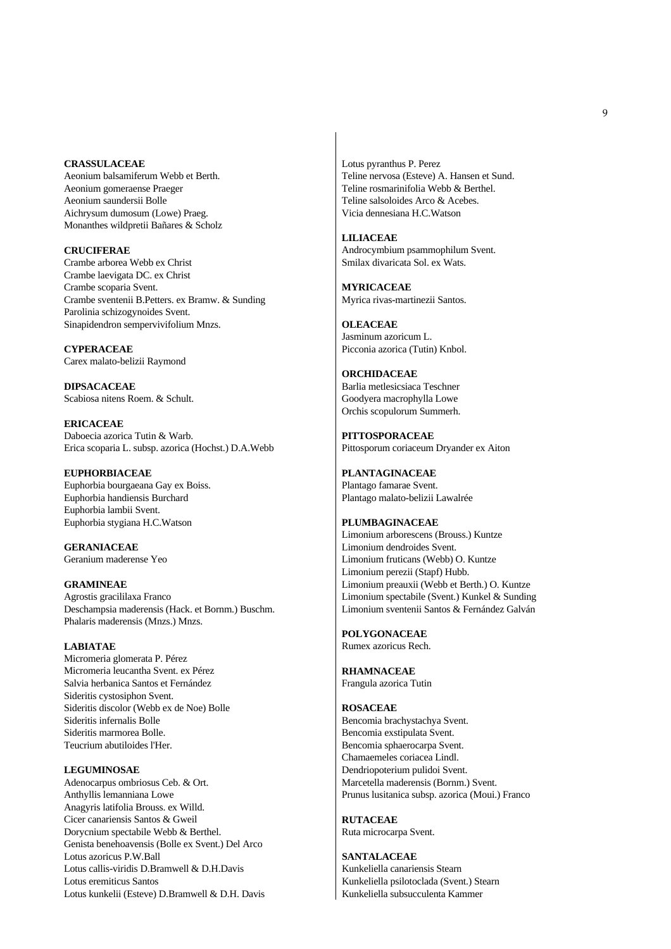#### **CRASSULACEAE**

Aeonium balsamiferum Webb et Berth. Aeonium gomeraense Praeger Aeonium saundersii Bolle Aichrysum dumosum (Lowe) Praeg. Monanthes wildpretii Bañares & Scholz

**CRUCIFERAE** Crambe arborea Webb ex Christ Crambe laevigata DC. ex Christ Crambe scoparia Svent. Crambe sventenii B.Petters. ex Bramw. & Sunding Parolinia schizogynoides Svent. Sinapidendron sempervivifolium Mnzs.

**CYPERACEAE** Carex malato-belizii Raymond

**DIPSACACEAE** Scabiosa nitens Roem. & Schult.

**ERICACEAE** Daboecia azorica Tutin & Warb. Erica scoparia L. subsp. azorica (Hochst.) D.A.Webb

**EUPHORBIACEAE** Euphorbia bourgaeana Gay ex Boiss. Euphorbia handiensis Burchard Euphorbia lambii Svent. Euphorbia stygiana H.C.Watson

**GERANIACEAE** Geranium maderense Yeo

**GRAMINEAE** Agrostis gracililaxa Franco Deschampsia maderensis (Hack. et Bornm.) Buschm. Phalaris maderensis (Mnzs.) Mnzs.

# **LABIATAE**

Micromeria glomerata P. Pérez Micromeria leucantha Svent. ex Pérez Salvia herbanica Santos et Fernández Sideritis cystosiphon Svent. Sideritis discolor (Webb ex de Noe) Bolle Sideritis infernalis Bolle Sideritis marmorea Bolle. Teucrium abutiloides l'Her.

**LEGUMINOSAE** Adenocarpus ombriosus Ceb. & Ort. Anthyllis lemanniana Lowe Anagyris latifolia Brouss. ex Willd. Cicer canariensis Santos & Gweil Dorycnium spectabile Webb & Berthel. Genista benehoavensis (Bolle ex Svent.) Del Arco Lotus azoricus P.W.Ball Lotus callis-viridis D.Bramwell & D.H.Davis Lotus eremiticus Santos Lotus kunkelii (Esteve) D.Bramwell & D.H. Davis Lotus pyranthus P. Perez Teline nervosa (Esteve) A. Hansen et Sund. Teline rosmarinifolia Webb & Berthel. Teline salsoloides Arco & Acebes. Vicia dennesiana H.C.Watson

**LILIACEAE** Androcymbium psammophilum Svent. Smilax divaricata Sol. ex Wats.

**MYRICACEAE** Myrica rivas-martinezii Santos.

**OLEACEAE** Jasminum azoricum L. Picconia azorica (Tutin) Knbol.

**ORCHIDACEAE** Barlia metlesicsiaca Teschner Goodyera macrophylla Lowe Orchis scopulorum Summerh.

**PITTOSPORACEAE** Pittosporum coriaceum Dryander ex Aiton

**PLANTAGINACEAE** Plantago famarae Svent. Plantago malato-belizii Lawalrée

# **PLUMBAGINACEAE** Limonium arborescens (Brouss.) Kuntze Limonium dendroides Svent. Limonium fruticans (Webb) O. Kuntze Limonium perezii (Stapf) Hubb. Limonium preauxii (Webb et Berth.) O. Kuntze Limonium spectabile (Svent.) Kunkel & Sunding Limonium sventenii Santos & Fernández Galván

**POLYGONACEAE** Rumex azoricus Rech.

**RHAMNACEAE** Frangula azorica Tutin

## **ROSACEAE** Bencomia brachystachya Svent.

Bencomia exstipulata Svent. Bencomia sphaerocarpa Svent. Chamaemeles coriacea Lindl. Dendriopoterium pulidoi Svent. Marcetella maderensis (Bornm.) Svent. Prunus lusitanica subsp. azorica (Moui.) Franco

**RUTACEAE** Ruta microcarpa Svent.

**SANTALACEAE** Kunkeliella canariensis Stearn Kunkeliella psilotoclada (Svent.) Stearn Kunkeliella subsucculenta Kammer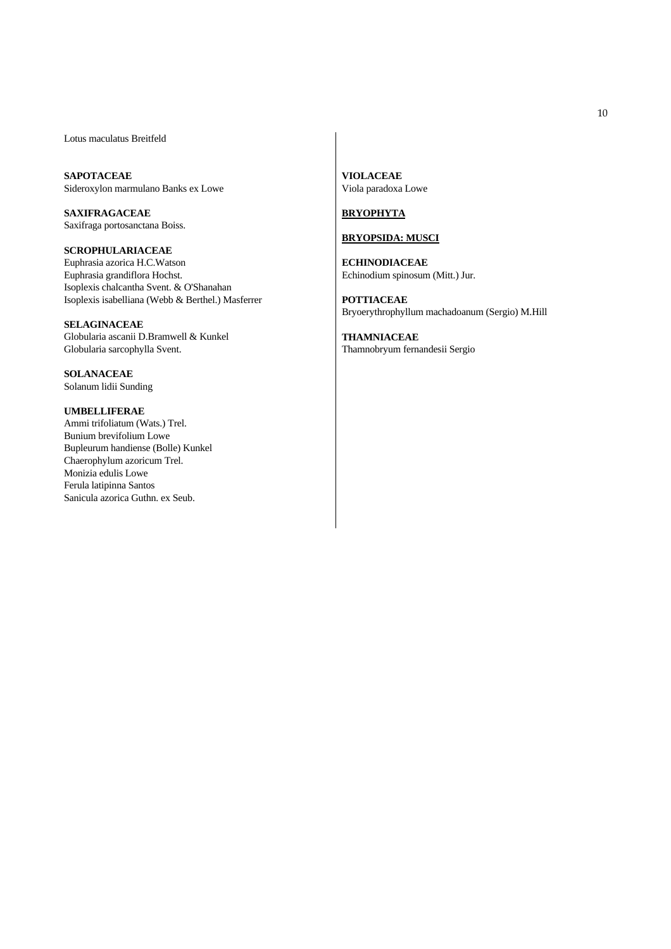Lotus maculatus Breitfeld

**SAPOTACEAE** Sideroxylon marmulano Banks ex Lowe

**SAXIFRAGACEAE** Saxifraga portosanctana Boiss.

**SCROPHULARIACEAE** Euphrasia azorica H.C.Watson Euphrasia grandiflora Hochst. Isoplexis chalcantha Svent. & O'Shanahan Isoplexis isabelliana (Webb & Berthel.) Masferrer

**SELAGINACEAE** Globularia ascanii D.Bramwell & Kunkel Globularia sarcophylla Svent.

**SOLANACEAE** Solanum lidii Sunding

# **UMBELLIFERAE**

Ammi trifoliatum (Wats.) Trel. Bunium brevifolium Lowe Bupleurum handiense (Bolle) Kunkel Chaerophylum azoricum Trel. Monizia edulis Lowe Ferula latipinna Santos Sanicula azorica Guthn. ex Seub.

**VIOLACEAE** Viola paradoxa Lowe

# **BRYOPHYTA**

# **BRYOPSIDA: MUSCI**

**ECHINODIACEAE** Echinodium spinosum (Mitt.) Jur.

**POTTIACEAE** Bryoerythrophyllum machadoanum (Sergio) M.Hill

**THAMNIACEAE** Thamnobryum fernandesii Sergio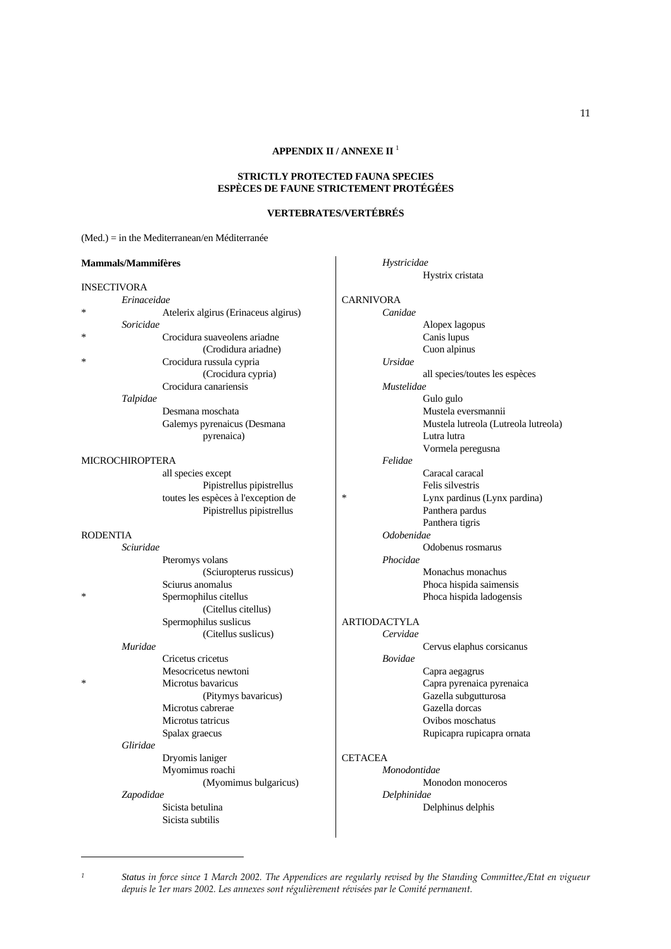## **STRICTLY PROTECTED FAUNA SPECIES ESPÈCES DE FAUNE STRICTEMENT PROTÉGÉES**

## **VERTEBRATES/VERTÉBRÉS**

 *Hystricidae*

## (Med.) = in the Mediterranean/en Méditerranée

### **Mammals/Mammifères**

| <b>INSECTIVORA</b> |  |
|--------------------|--|
|                    |  |

|          | Erinaceidae     |                                      |
|----------|-----------------|--------------------------------------|
| ∗        |                 | Atelerix algirus (Erinaceus algirus) |
|          | Soricidae       |                                      |
| ∗        |                 | Crocidura suaveolens ariadne         |
|          |                 | (Crodidura ariadne)                  |
| $\ast$   |                 | Crocidura russula cypria             |
|          |                 | (Crocidura cypria)                   |
|          |                 | Crocidura canariensis                |
|          | Talpidae        |                                      |
|          |                 | Desmana moschata                     |
|          |                 | Galemys pyrenaicus (Desmana          |
|          |                 | pyrenaica)                           |
|          |                 |                                      |
|          | MICROCHIROPTERA |                                      |
|          |                 | all species except                   |
|          |                 | Pipistrellus pipistrellus            |
|          |                 | toutes les espèces à l'exception de  |
|          |                 | Pipistrellus pipistrellus            |
|          |                 |                                      |
| RODENTIA |                 |                                      |
|          | Sciuridae       |                                      |
|          |                 | Pteromys volans                      |
|          |                 | (Sciuropterus russicus)              |
|          |                 | Sciurus anomalus                     |
| *        |                 | Spermophilus citellus                |
|          |                 | (Citellus citellus)                  |
|          |                 | Spermophilus suslicus                |
|          |                 | (Citellus suslicus)                  |
|          | Muridae         |                                      |
|          |                 | Cricetus cricetus                    |
|          |                 | Mesocricetus newtoni                 |
| ∗        |                 | Microtus bavaricus                   |
|          |                 | (Pitymys bavaricus)                  |
|          |                 | Microtus cabrerae                    |
|          |                 | Microtus tatricus                    |
|          |                 | Spalax graecus                       |
|          | Gliridae        |                                      |
|          |                 | Dryomis laniger                      |

 Myomimus roachi (Myomimus bulgaricus)  *Zapodidae*

 Sicista betulina Sicista subtilis

 Hystrix cristata CARNIVORA  *Canidae* Alopex lagopus Canis lupus Cuon alpinus  *Ursidae* all species/toutes les espèces  *Mustelidae* Gulo gulo Mustela eversmannii Mustela lutreola (Lutreola lutreola) Lutra lutra Vormela peregusna  *Felidae* Caracal caracal Felis silvestris \* Lynx pardinus (Lynx pardina) Panthera pardus Panthera tigris  *Odobenidae* Odobenus rosmarus  *Phocidae* Monachus monachus Phoca hispida saimensis Phoca hispida ladogensis ARTIODACTYLA  *Cervidae* Cervus elaphus corsicanus  *Bovidae* Capra aegagrus Capra pyrenaica pyrenaica Gazella subgutturosa Gazella dorcas Ovibos moschatus Rupicapra rupicapra ornata

# **CETACEA**

 *Monodontidae* Monodon monoceros  *Delphinidae* Delphinus delphis

*<sup>1</sup> Status in force since 1 March 2002. The Appendices are regularly revised by the Standing Committee./Etat en vigueur depuis le 1er mars 2002. Les annexes sont régulièrement révisées par le Comité permanent.*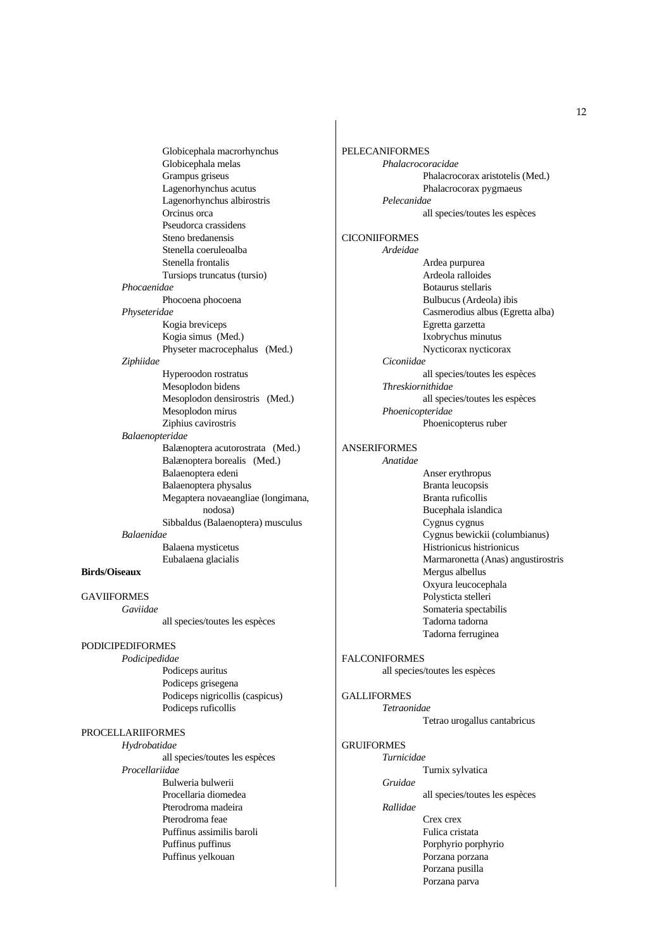Globicephala macrorhynchus Globicephala melas Grampus griseus Lagenorhynchus acutus Lagenorhynchus albirostris Orcinus orca Pseudorca crassidens Steno bredanensis Stenella coeruleoalba Stenella frontalis Tursiops truncatus (tursio)  *Phocaenidae* Phocoena phocoena  *Physeteridae* Kogia breviceps Kogia simus (Med.) Physeter macrocephalus (Med.)  *Ziphiidae* Hyperoodon rostratus Mesoplodon bidens Mesoplodon densirostris (Med.) Mesoplodon mirus Ziphius cavirostris  *Balaenopteridae* Balænoptera acutorostrata (Med.) Balænoptera borealis (Med.) Balaenoptera edeni Balaenoptera physalus Megaptera novaeangliae (longimana, nodosa) Sibbaldus (Balaenoptera) musculus  *Balaenidae* Balaena mysticetus Eubalaena glacialis

# **Birds/Oiseaux**

GAVIIFORMES  *Gaviidae* all species/toutes les espèces PODICIPEDIFORMES

# *Podicipedidae*

 Podiceps auritus Podiceps grisegena Podiceps nigricollis (caspicus) Podiceps ruficollis

# PROCELLARIIFORMES

 *Hydrobatidae* all species/toutes les espèces  *Procellariidae* Bulweria bulwerii Procellaria diomedea Pterodroma madeira Pterodroma feae Puffinus assimilis baroli Puffinus puffinus Puffinus yelkouan

PELECANIFORMES  *Phalacrocoracidae* Phalacrocorax aristotelis (Med.) Phalacrocorax pygmaeus  *Pelecanidae* all species/toutes les espèces **CICONIIFORMES**  *Ardeidae* Ardea purpurea Ardeola ralloides Botaurus stellaris Bulbucus (Ardeola) ibis Casmerodius albus (Egretta alba) Egretta garzetta Ixobrychus minutus Nycticorax nycticorax  *Ciconiidae* all species/toutes les espèces  *Threskiornithidae* all species/toutes les espèces  *Phoenicopteridae* Phoenicopterus ruber

# ANSERIFORMES

 *Anatidae* Anser erythropus Branta leucopsis Branta ruficollis Bucephala islandica Cygnus cygnus Cygnus bewickii (columbianus) Histrionicus histrionicus Marmaronetta (Anas) angustirostris Mergus albellus Oxyura leucocephala Polysticta stelleri Somateria spectabilis Tadorna tadorna Tadorna ferruginea

#### FALCONIFORMES

all species/toutes les espèces

## GALLIFORMES

 *Tetraonidae* Tetrao urogallus cantabricus

#### GRUIFORMES

 *Turnicidae* Turnix sylvatica

 *Gruidae*

all species/toutes les espèces

 *Rallidae*

 Crex crex Fulica cristata Porphyrio porphyrio Porzana porzana Porzana pusilla Porzana parva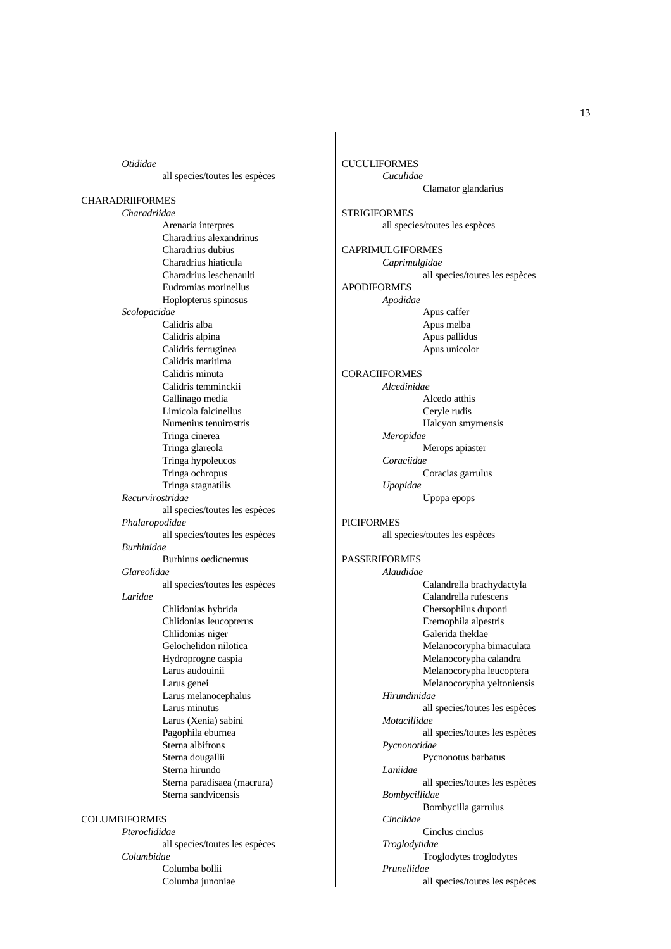*Otididae* all species/toutes les espèces CHARADRIIFORMES  *Charadriidae* Arenaria interpres Charadrius alexandrinus Charadrius dubius Charadrius hiaticula Charadrius leschenaulti Eudromias morinellus Hoplopterus spinosus  *Scolopacidae* Calidris alba Calidris alpina Calidris ferruginea Calidris maritima Calidris minuta Calidris temminckii Gallinago media Limicola falcinellus Numenius tenuirostris Tringa cinerea Tringa glareola Tringa hypoleucos Tringa ochropus Tringa stagnatilis  *Recurvirostridae* all species/toutes les espèces  *Phalaropodidae* all species/toutes les espèces  *Burhinidae* Burhinus oedicnemus  *Glareolidae* all species/toutes les espèces  *Laridae* Chlidonias hybrida Chlidonias leucopterus Chlidonias niger Gelochelidon nilotica Hydroprogne caspia Larus audouinii Larus genei Larus melanocephalus Larus minutus Larus (Xenia) sabini Pagophila eburnea Sterna albifrons Sterna dougallii Sterna hirundo Sterna paradisaea (macrura) Sterna sandvicensis COLUMBIFORMES  *Pteroclididae* all species/toutes les espèces

 *Columbidae* Columba bollii Columba junoniae CUCULIFORMES  *Cuculidae* Clamator glandarius **STRIGIFORMES**  all species/toutes les espèces CAPRIMULGIFORMES  *Caprimulgidae* all species/toutes les espèces APODIFORMES  *Apodidae* Apus caffer Apus melba Apus pallidus Apus unicolor **CORACIIFORMES**  *Alcedinidae* Alcedo atthis Ceryle rudis Halcyon smyrnensis  *Meropidae* Merops apiaster  *Coraciidae* Coracias garrulus  *Upopidae* Upopa epops PICIFORMES all species/toutes les espèces PASSERIFORMES  *Alaudidae* Calandrella brachydactyla Calandrella rufescens Chersophilus duponti Eremophila alpestris Galerida theklae Melanocorypha bimaculata Melanocorypha calandra Melanocorypha leucoptera Melanocorypha yeltoniensis  *Hirundinidae* all species/toutes les espèces  *Motacillidae* all species/toutes les espèces  *Pycnonotidae* Pycnonotus barbatus  *Laniidae* all species/toutes les espèces  *Bombycillidae* Bombycilla garrulus  *Cinclidae* Cinclus cinclus  *Troglodytidae* Troglodytes troglodytes  *Prunellidae* all species/toutes les espèces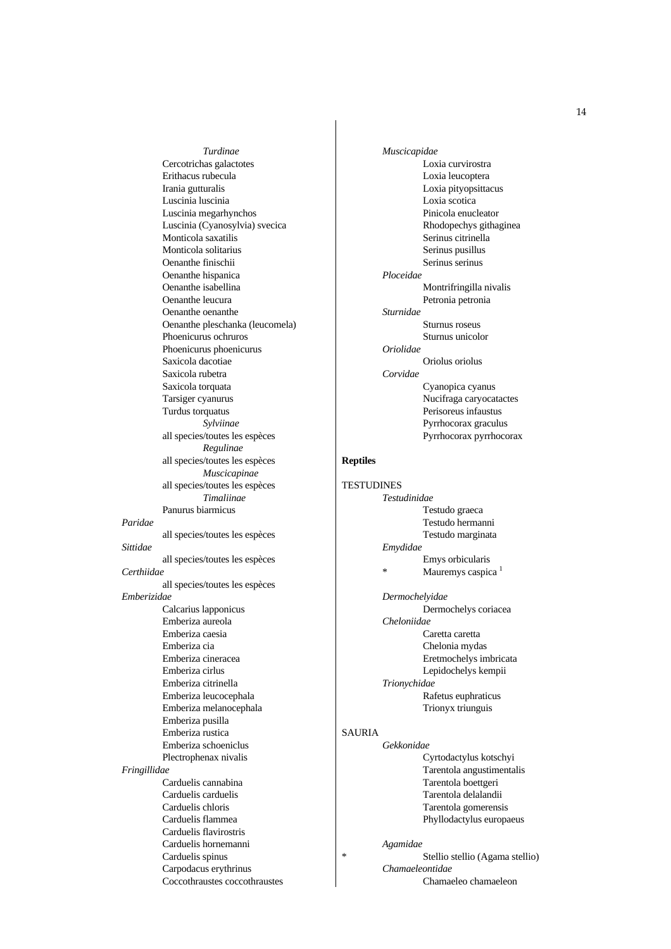*Turdinae* Cercotrichas galactotes Erithacus rubecula Irania gutturalis Luscinia luscinia Luscinia megarhynchos Luscinia (Cyanosylvia) svecica Monticola saxatilis Monticola solitarius Oenanthe finischii Oenanthe hispanica Oenanthe isabellina Oenanthe leucura Oenanthe oenanthe Oenanthe pleschanka (leucomela) Phoenicurus ochruros Phoenicurus phoenicurus Saxicola dacotiae Saxicola rubetra Saxicola torquata Tarsiger cyanurus Turdus torquatus  *Sylviinae* all species/toutes les espèces  *Regulinae* all species/toutes les espèces  *Muscicapinae* all species/toutes les espèces  *Timaliinae* Panurus biarmicus  *Paridae* all species/toutes les espèces  *Sittidae* all species/toutes les espèces  *Certhiidae* all species/toutes les espèces *Emberizidae* Calcarius lapponicus Emberiza aureola Emberiza caesia Emberiza cia Emberiza cineracea Emberiza cirlus Emberiza citrinella Emberiza leucocephala Emberiza melanocephala Emberiza pusilla Emberiza rustica Emberiza schoeniclus Plectrophenax nivalis  *Fringillidae* Carduelis cannabina Carduelis carduelis Carduelis chloris Carduelis flammea Carduelis flavirostris Carduelis hornemanni Carduelis spinus Carpodacus erythrinus Coccothraustes coccothraustes

 *Muscicapidae*  Loxia curvirostra Loxia leucoptera Loxia pityopsittacus Loxia scotica Pinicola enucleator Rhodopechys githaginea Serinus citrinella Serinus pusillus Serinus serinus  *Ploceidae* Montrifringilla nivalis Petronia petronia  *Sturnidae* Sturnus roseus Sturnus unicolor  *Oriolidae* Oriolus oriolus  *Corvidae* Cyanopica cyanus Nucifraga caryocatactes Perisoreus infaustus Pyrrhocorax graculus Pyrrhocorax pyrrhocorax

# **Reptiles**

| <b>TESTUDINES</b> |                               |  |
|-------------------|-------------------------------|--|
| Testudinidae      |                               |  |
|                   | Testudo graeca                |  |
|                   | Testudo hermanni              |  |
|                   | Testudo marginata             |  |
| Emydidae          |                               |  |
|                   | Emys orbicularis              |  |
| *                 | Mauremys caspica <sup>1</sup> |  |
| Dermochelvidae    |                               |  |

 Dermochelys coriacea  *Cheloniidae* Caretta caretta Chelonia mydas Eretmochelys imbricata Lepidochelys kempii  *Trionychidae* Rafetus euphraticus Trionyx triunguis

# SAURIA  *Gekkonidae*

 Cyrtodactylus kotschyi Tarentola angustimentalis Tarentola boettgeri Tarentola delalandii Tarentola gomerensis Phyllodactylus europaeus

## *Agamidae*

\* Stellio stellio (Agama stellio)  *Chamaeleontidae* Chamaeleo chamaeleon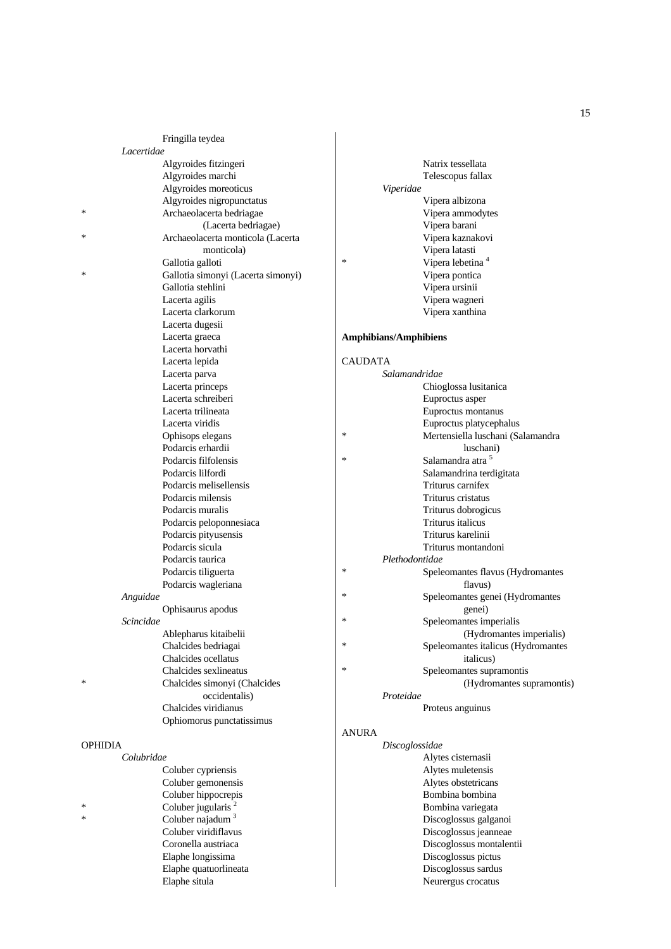| Lacertidae     | Fringilla teydea                                      |                              |                                         |
|----------------|-------------------------------------------------------|------------------------------|-----------------------------------------|
|                |                                                       |                              | Natrix tessellata                       |
|                | Algyroides fitzingeri<br>Algyroides marchi            |                              |                                         |
|                | Algyroides moreoticus                                 | Viperidae                    | Telescopus fallax                       |
|                | Algyroides nigropunctatus                             |                              | Vipera albizona                         |
| ∗              | Archaeolacerta bedriagae                              |                              | Vipera ammodytes                        |
|                | (Lacerta bedriagae)                                   |                              | Vipera barani                           |
| ∗              | Archaeolacerta monticola (Lacerta                     |                              | Vipera kaznakovi                        |
|                | monticola)                                            |                              | Vipera latasti                          |
|                | Gallotia galloti                                      | $\ast$                       | Vipera lebetina <sup>4</sup>            |
| ∗              | Gallotia simonyi (Lacerta simonyi)                    |                              | Vipera pontica                          |
|                | Gallotia stehlini                                     |                              | Vipera ursinii                          |
|                | Lacerta agilis                                        |                              | Vipera wagneri                          |
|                | Lacerta clarkorum                                     |                              | Vipera xanthina                         |
|                | Lacerta dugesii                                       |                              |                                         |
|                | Lacerta graeca                                        | <b>Amphibians/Amphibiens</b> |                                         |
|                | Lacerta horvathi                                      |                              |                                         |
|                | Lacerta lepida                                        | <b>CAUDATA</b>               |                                         |
|                | Lacerta parva                                         | Salamandridae                |                                         |
|                | Lacerta princeps                                      |                              | Chioglossa lusitanica                   |
|                | Lacerta schreiberi                                    |                              | Euproctus asper                         |
|                | Lacerta trilineata                                    |                              | Euproctus montanus                      |
|                | Lacerta viridis                                       |                              | Euproctus platycephalus                 |
|                | Ophisops elegans                                      | *                            | Mertensiella luschani (Salamandra       |
|                | Podarcis erhardii                                     | $\ast$                       | luschani)                               |
|                | Podarcis filfolensis                                  |                              | Salamandra atra 5                       |
|                | Podarcis lilfordi                                     |                              | Salamandrina terdigitata                |
|                | Podarcis melisellensis<br>Podarcis milensis           |                              | Triturus carnifex<br>Triturus cristatus |
|                | Podarcis muralis                                      |                              | Triturus dobrogicus                     |
|                | Podarcis peloponnesiaca                               |                              | Triturus italicus                       |
|                | Podarcis pityusensis                                  |                              | Triturus karelinii                      |
|                | Podarcis sicula                                       |                              | Triturus montandoni                     |
|                | Podarcis taurica                                      | Plethodontidae               |                                         |
|                | Podarcis tiliguerta                                   | *                            | Speleomantes flavus (Hydromantes        |
|                | Podarcis wagleriana                                   |                              | flavus)                                 |
| Anguidae       |                                                       | *                            | Speleomantes genei (Hydromantes         |
|                | Ophisaurus apodus                                     |                              | genei)                                  |
| Scincidae      |                                                       | *                            | Speleomantes imperialis                 |
|                | Ablepharus kitaibelii                                 |                              | (Hydromantes imperialis)                |
|                | Chalcides bedriagai                                   | $\ast$                       | Speleomantes italicus (Hydromantes      |
|                | Chalcides ocellatus                                   |                              | italicus)                               |
|                | Chalcides sexlineatus                                 | ∗                            | Speleomantes supramontis                |
| ∗              | Chalcides simonyi (Chalcides                          |                              | (Hydromantes supramontis)               |
|                | occidentalis)                                         | Proteidae                    |                                         |
|                | Chalcides viridianus                                  |                              | Proteus anguinus                        |
|                | Ophiomorus punctatissimus                             |                              |                                         |
|                |                                                       | <b>ANURA</b>                 |                                         |
| <b>OPHIDIA</b> |                                                       | Discoglossidae               |                                         |
| Colubridae     |                                                       |                              | Alytes cisternasii                      |
|                | Coluber cypriensis                                    |                              | Alytes muletensis                       |
|                | Coluber gemonensis                                    |                              | Alytes obstetricans<br>Bombina bombina  |
| ∗              | Coluber hippocrepis<br>Coluber jugularis <sup>2</sup> |                              | Bombina variegata                       |
| *              | Coluber najadum $3$                                   |                              | Discoglossus galganoi                   |
|                | Coluber viridiflavus                                  |                              | Discoglossus jeanneae                   |
|                | Coronella austriaca                                   |                              | Discoglossus montalentii                |
|                | Elaphe longissima                                     |                              | Discoglossus pictus                     |
|                | Elaphe quatuorlineata                                 |                              | Discoglossus sardus                     |
|                | Elaphe situla                                         |                              | Neurergus crocatus                      |
|                |                                                       |                              |                                         |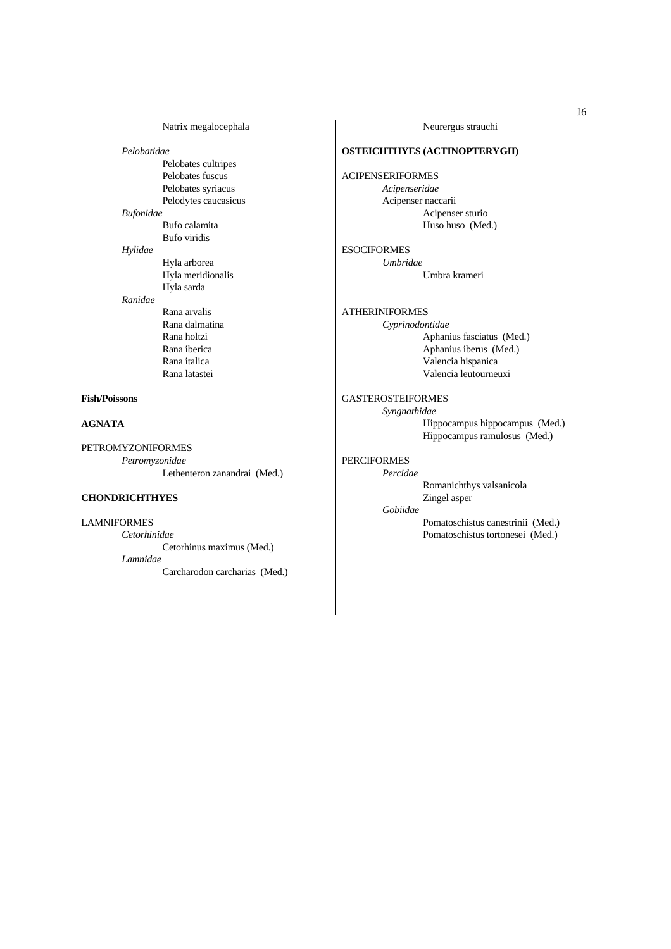Natrix megalocephala

 *Pelobatidae* Pelobates cultripes Pelobates fuscus Pelobates syriacus Pelodytes caucasicus  *Bufonidae* Bufo calamita Bufo viridis  *Hylidae* Hyla arborea Hyla meridionalis Hyla sarda  *Ranidae* Rana arvalis Rana dalmatina Rana holtzi Rana iberica Rana italica Rana latastei

## **Fish/Poissons**

### **AGNATA**

PETROMYZONIFORMES  *Petromyzonidae* Lethenteron zanandrai (Med.)

# **CHONDRICHTHYES**

LAMNIFORMES  *Cetorhinidae* Cetorhinus maximus (Med.)  *Lamnidae* Carcharodon carcharias (Med.) Neurergus strauchi

## **OSTEICHTHYES (ACTINOPTERYGII)**

ACIPENSERIFORMES  *Acipenseridae* Acipenser naccarii Acipenser sturio Huso huso (Med.)

**ESOCIFORMES**  *Umbridae* Umbra krameri

ATHERINIFORMES  *Cyprinodontidae* Aphanius fasciatus (Med.) Aphanius iberus (Med.) Valencia hispanica Valencia leutourneuxi GASTEROSTEIFORMES

> *Syngnathidae* Hippocampus hippocampus (Med.) Hippocampus ramulosus (Med.)

# PERCIFORMES

 *Percidae* Romanichthys valsanicola Zingel asper

 *Gobiidae* Pomatoschistus canestrinii (Med.)

Pomatoschistus tortonesei (Med.)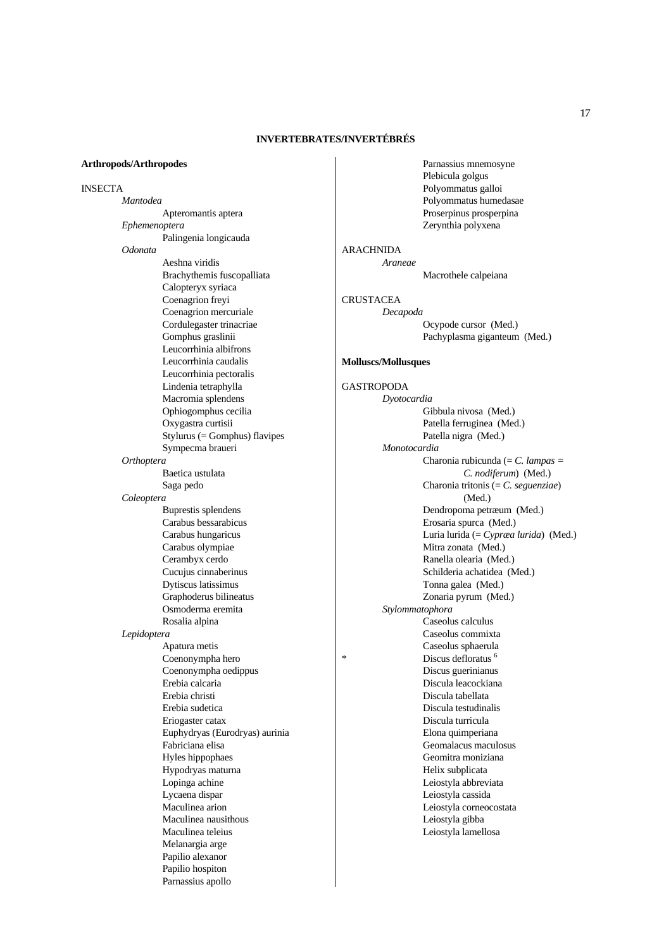# **INVERTEBRATES/INVERTÉBRÉS**

#### **Arthropods/Arthropodes**

INSECTA  *Mantodea* Apteromantis aptera *Ephemenoptera*  Palingenia longicauda  *Odonata* Aeshna viridis Brachythemis fuscopalliata Calopteryx syriaca Coenagrion freyi Coenagrion mercuriale Cordulegaster trinacriae Gomphus graslinii Leucorrhinia albifrons Leucorrhinia caudalis Leucorrhinia pectoralis Lindenia tetraphylla Macromia splendens Ophiogomphus cecilia Oxygastra curtisii Stylurus (= Gomphus) flavipes Sympecma braueri  *Orthoptera* Baetica ustulata Saga pedo  *Coleoptera* Buprestis splendens Carabus bessarabicus Carabus hungaricus Carabus olympiae Cerambyx cerdo Cucujus cinnaberinus Dytiscus latissimus Graphoderus bilineatus Osmoderma eremita Rosalia alpina  *Lepidoptera* Apatura metis Coenonympha hero Coenonympha oedippus Erebia calcaria Erebia christi Erebia sudetica Eriogaster catax Euphydryas (Eurodryas) aurinia Fabriciana elisa Hyles hippophaes Hypodryas maturna Lopinga achine Lycaena dispar Maculinea arion Maculinea nausithous Maculinea teleius Melanargia arge Papilio alexanor Papilio hospiton

Parnassius apollo

 Parnassius mnemosyne Plebicula golgus Polyommatus galloi Polyommatus humedasae Proserpinus prosperpina Zerynthia polyxena

ARACHNIDA  *Araneae* 

Macrothele calpeiana

CRUSTACEA  *Decapoda*  Ocypode cursor (Med.) Pachyplasma giganteum (Med.)

## **Molluscs/Mollusques**

GASTROPODA  *Dyotocardia* Gibbula nivosa (Med.) Patella ferruginea (Med.) Patella nigra (Med.)  *Monotocardia* Charonia rubicunda (= *C. lampas = C. nodiferum*) (Med.) Charonia tritonis (= *C. seguenziae*) (Med.) Dendropoma petræum (Med.) Erosaria spurca (Med.) Luria lurida (= *Cypræa lurida*) (Med.) Mitra zonata (Med.) Ranella olearia (Med.) Schilderia achatidea (Med.) Tonna galea (Med.) Zonaria pyrum (Med.)  *Stylommatophora* Caseolus calculus Caseolus commixta Caseolus sphaerula Discus defloratus<sup>6</sup> Discus guerinianus Discula leacockiana Discula tabellata Discula testudinalis Discula turricula Elona quimperiana Geomalacus maculosus Geomitra moniziana Helix subplicata Leiostyla abbreviata Leiostyla cassida Leiostyla corneocostata Leiostyla gibba Leiostyla lamellosa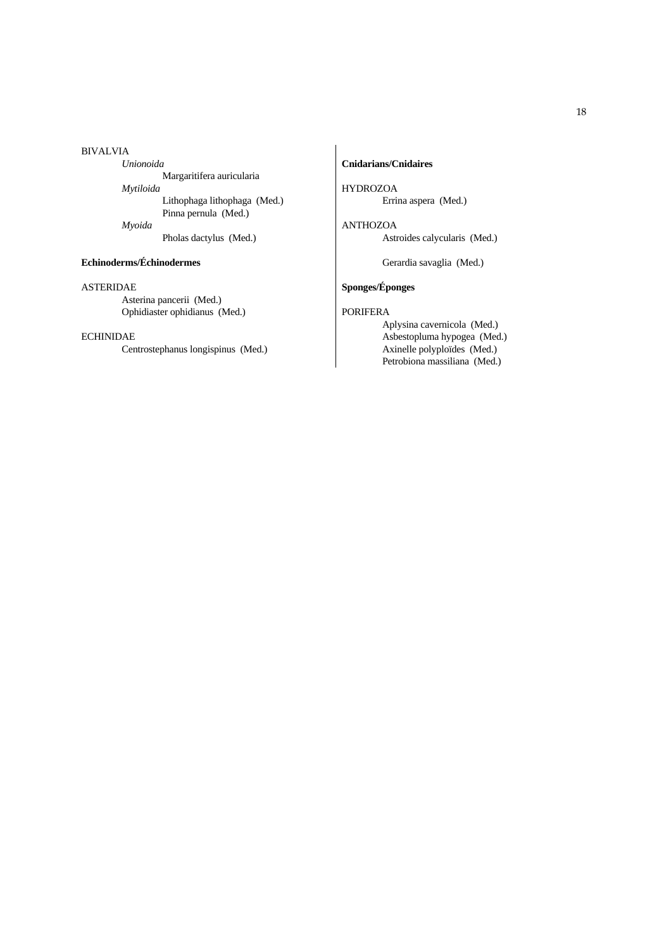#### BIVALVIA

 *Unionoida* Margaritifera auricularia  *Mytiloida* Lithophaga lithophaga (Med.) Pinna pernula (Med.)  *Myoida* Pholas dactylus (Med.)

## **Echinoderms/Échinodermes**

#### ASTERIDAE

 Asterina pancerii (Med.) Ophidiaster ophidianus (Med.)

# ECHINIDAE

Centrostephanus longispinus (Med.)

# **Cnidarians/Cnidaires**

HYDROZOA Errina aspera (Med.)

ANTHOZOA Astroides calycularis (Med.)

Gerardia savaglia (Med.)

# **Sponges/Éponges**

# PORIFERA

 Aplysina cavernicola (Med.) Asbestopluma hypogea (Med.) Axinelle polyploïdes (Med.) Petrobiona massiliana (Med.)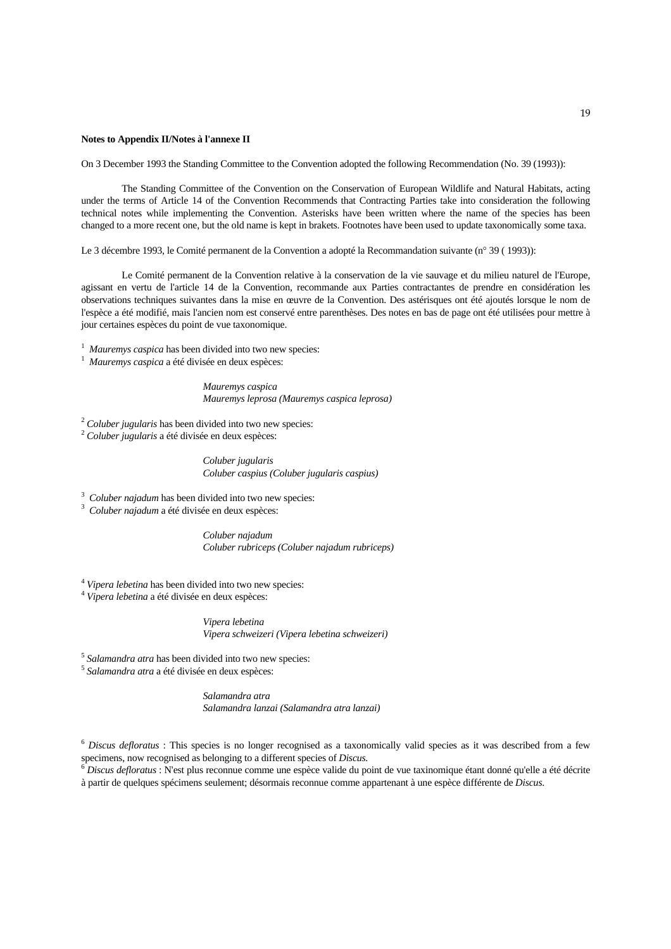#### **Notes to Appendix II/Notes à l'annexe II**

On 3 December 1993 the Standing Committee to the Convention adopted the following Recommendation (No. 39 (1993)):

 The Standing Committee of the Convention on the Conservation of European Wildlife and Natural Habitats, acting under the terms of Article 14 of the Convention Recommends that Contracting Parties take into consideration the following technical notes while implementing the Convention. Asterisks have been written where the name of the species has been changed to a more recent one, but the old name is kept in brakets. Footnotes have been used to update taxonomically some taxa.

Le 3 décembre 1993, le Comité permanent de la Convention a adopté la Recommandation suivante (n° 39 ( 1993)):

 Le Comité permanent de la Convention relative à la conservation de la vie sauvage et du milieu naturel de l'Europe, agissant en vertu de l'article 14 de la Convention, recommande aux Parties contractantes de prendre en considération les observations techniques suivantes dans la mise en œuvre de la Convention. Des astérisques ont été ajoutés lorsque le nom de l'espèce a été modifié, mais l'ancien nom est conservé entre parenthèses. Des notes en bas de page ont été utilisées pour mettre à jour certaines espèces du point de vue taxonomique.

<sup>1</sup> *Mauremys caspica* has been divided into two new species:<br><sup>1</sup> *Mauremys caspica* a 4th divisón on dow cappeas:

*Mauremys caspica* a été divisée en deux espèces:

 *Mauremys caspica Mauremys leprosa (Mauremys caspica leprosa)*

<sup>2</sup> *Coluber jugularis* has been divided into two new species: 2 *Coluber jugularis* a été divisée en deux espèces:

 *Coluber jugularis Coluber caspius (Coluber jugularis caspius)*

<sup>3</sup> *Coluber najadum* has been divided into two new species:<br><sup>3</sup> *Coluber najadum* a *4th* divisée on days expected.

*Coluber najadum* a été divisée en deux espèces:

 *Coluber najadum Coluber rubriceps (Coluber najadum rubriceps)*

<sup>4</sup> *Vipera lebetina* has been divided into two new species: 4 *Vipera lebetina* a été divisée en deux espèces:

 *Vipera lebetina Vipera schweizeri (Vipera lebetina schweizeri)*

<sup>5</sup> *Salamandra atra* has been divided into two new species: 5 *Salamandra atra* a été divisée en deux espèces:

 *Salamandra atra Salamandra lanzai (Salamandra atra lanzai)*

<sup>6</sup> *Discus defloratus* : This species is no longer recognised as a taxonomically valid species as it was described from a few specimens, now recognised as belonging to a different species of *Discus*.<br><sup>6</sup> *Discus defloratus* : N'est plus reconnue comme une espèce valide du point de vue taxinomique étant donné qu'elle a été décrite

à partir de quelques spécimens seulement; désormais reconnue comme appartenant à une espèce différente de *Discus*.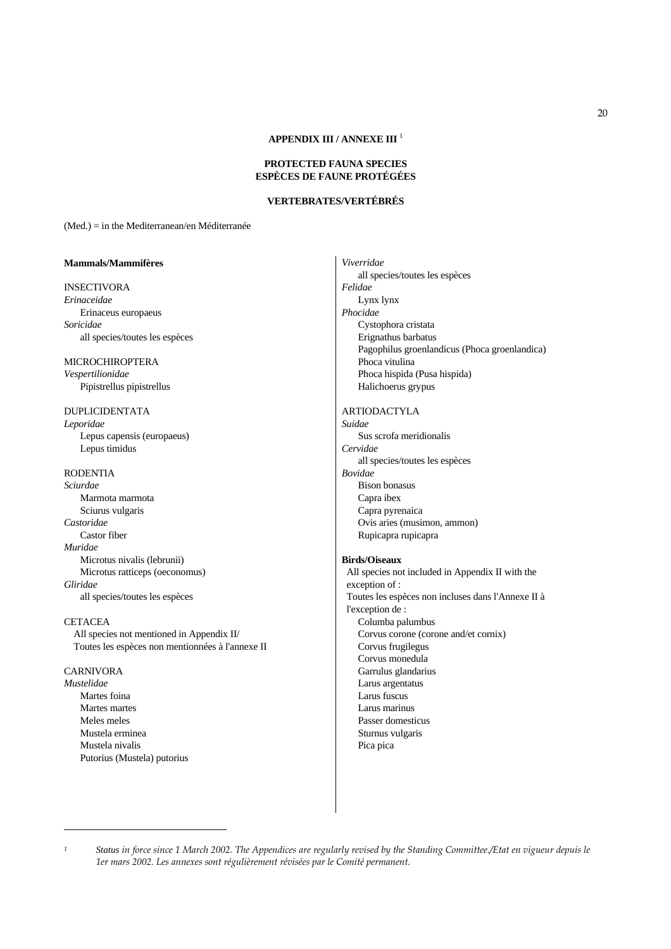## **APPENDIX III / ANNEXE III** <sup>1</sup>

## **PROTECTED FAUNA SPECIES ESPÈCES DE FAUNE PROTÉGÉES**

# **VERTEBRATES/VERTÉBRÉS**

(Med.) = in the Mediterranean/en Méditerranée

#### **Mammals/Mammifères**

INSECTIVORA *Erinaceidae* Erinaceus europaeus

*Soricidae* all species/toutes les espèces

MICROCHIROPTERA *Vespertilionidae*

Pipistrellus pipistrellus

### DUPLICIDENTATA *Leporidae*

 Lepus capensis (europaeus) Lepus timidus

## RODENTIA

*Sciurdae* Marmota marmota Sciurus vulgaris *Castoridae* Castor fiber *Muridae* Microtus nivalis (lebrunii) Microtus ratticeps (oeconomus) *Gliridae* all species/toutes les espèces

#### **CETACEA**

 All species not mentioned in Appendix II/ Toutes les espèces non mentionnées à l'annexe II

# CARNIVORA

*Mustelidae* Martes foina Martes martes Meles meles Mustela erminea Mustela nivalis Putorius (Mustela) putorius

## *Viverridae* all species/toutes les espèces *Felidae* Lynx lynx *Phocidae* Cystophora cristata

 Erignathus barbatus Pagophilus groenlandicus (Phoca groenlandica) Phoca vitulina Phoca hispida (Pusa hispida) Halichoerus grypus

# ARTIODACTYLA

*Suidae* Sus scrofa meridionalis *Cervidae* all species/toutes les espèces *Bovidae* Bison bonasus Capra ibex Capra pyrenaica Ovis aries (musimon, ammon) Rupicapra rupicapra

## **Birds/Oiseaux**

 All species not included in Appendix II with the exception of : Toutes les espèces non incluses dans l'Annexe II à l'exception de : Columba palumbus Corvus corone (corone and/et cornix) Corvus frugilegus Corvus monedula Garrulus glandarius Larus argentatus Larus fuscus Larus marinus Passer domesticus Sturnus vulgaris Pica pica

*<sup>1</sup> Status in force since 1 March 2002. The Appendices are regularly revised by the Standing Committee./Etat en vigueur depuis le 1er mars 2002. Les annexes sont régulièrement révisées par le Comité permanent.*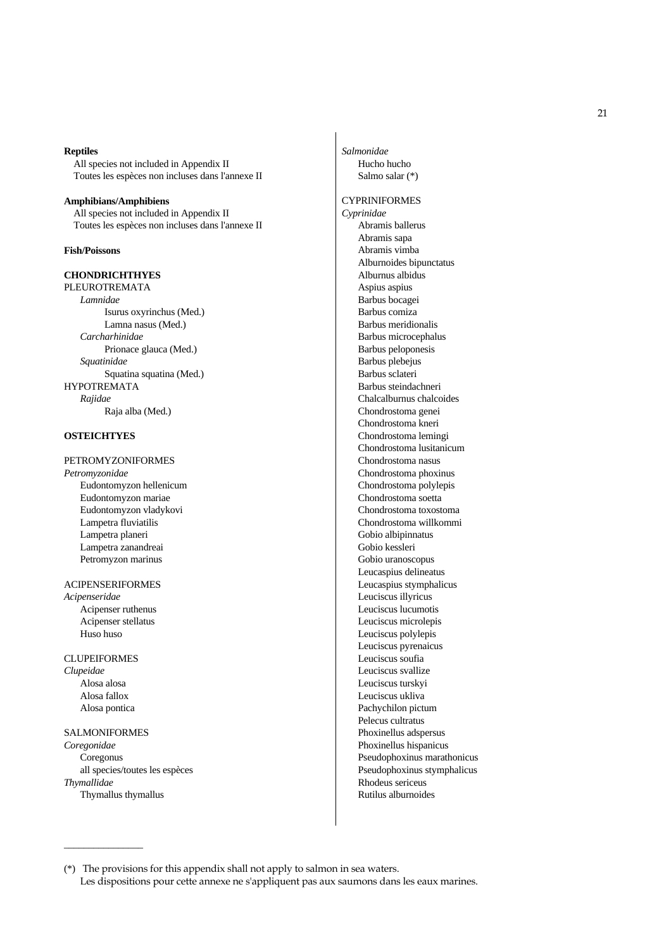#### **Reptiles**

 All species not included in Appendix II Toutes les espèces non incluses dans l'annexe II

#### **Amphibians/Amphibiens**

 All species not included in Appendix II Toutes les espèces non incluses dans l'annexe II

## **Fish/Poissons**

## **CHONDRICHTHYES**

PLEUROTREMATA  *Lamnidae* Isurus oxyrinchus (Med.) Lamna nasus (Med.)  *Carcharhinidae* Prionace glauca (Med.)  *Squatinidae* Squatina squatina (Med.) HYPOTREMATA  *Rajidae* Raja alba (Med.)

# **OSTEICHTYES**

# PETROMYZONIFORMES

*Petromyzonidae* Eudontomyzon hellenicum Eudontomyzon mariae Eudontomyzon vladykovi Lampetra fluviatilis Lampetra planeri Lampetra zanandreai Petromyzon marinus

ACIPENSERIFORMES *Acipenseridae* Acipenser ruthenus Acipenser stellatus Huso huso

# CLUPEIFORMES *Clupeidae* Alosa alosa

 Alosa fallox Alosa pontica

# SALMONIFORMES

 $\overline{\phantom{a}}$  , where  $\overline{\phantom{a}}$ 

*Coregonidae* Coregonus all species/toutes les espèces *Thymallidae* Thymallus thymallus

*Salmonidae* Hucho hucho Salmo salar (\*)

# CYPRINIFORMES *Cyprinidae* Abramis ballerus Abramis sapa Abramis vimba Alburnoides bipunctatus Alburnus albidus Aspius aspius Barbus bocagei Barbus comiza Barbus meridionalis Barbus microcephalus Barbus peloponesis Barbus plebejus Barbus sclateri Barbus steindachneri Chalcalburnus chalcoides Chondrostoma genei Chondrostoma kneri Chondrostoma lemingi Chondrostoma lusitanicum Chondrostoma nasus Chondrostoma phoxinus Chondrostoma polylepis Chondrostoma soetta Chondrostoma toxostoma Chondrostoma willkommi Gobio albipinnatus Gobio kessleri Gobio uranoscopus Leucaspius delineatus Leucaspius stymphalicus Leuciscus illyricus Leuciscus lucumotis Leuciscus microlepis Leuciscus polylepis Leuciscus pyrenaicus Leuciscus soufia Leuciscus svallize Leuciscus turskyi Leuciscus ukliva Pachychilon pictum Pelecus cultratus Phoxinellus adspersus Phoxinellus hispanicus Pseudophoxinus marathonicus Pseudophoxinus stymphalicus Rhodeus sericeus Rutilus alburnoides

<sup>(\*)</sup> The provisions for this appendix shall not apply to salmon in sea waters. Les dispositions pour cette annexe ne s'appliquent pas aux saumons dans les eaux marines.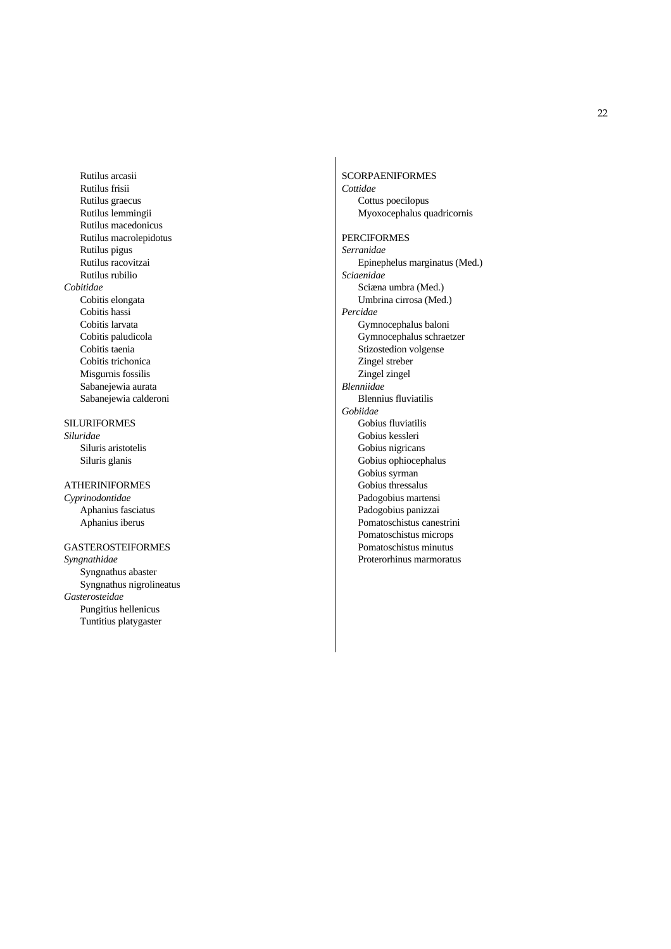Rutilus arcasii Rutilus frisii Rutilus graecus Rutilus lemmingii Rutilus macedonicus Rutilus macrolepidotus Rutilus pigus Rutilus racovitzai Rutilus rubilio *Cobitidae* Cobitis elongata Cobitis hassi Cobitis larvata Cobitis paludicola Cobitis taenia Cobitis trichonica Misgurnis fossilis Sabanejewia aurata Sabanejewia calderoni

SILURIFORMES *Siluridae* Siluris aristotelis Siluris glanis

ATHERINIFORMES *Cyprinodontidae* Aphanius fasciatus Aphanius iberus

GASTEROSTEIFORMES

*Syngnathidae* Syngnathus abaster Syngnathus nigrolineatus *Gasterosteidae* Pungitius hellenicus Tuntitius platygaster

**SCORPAENIFORMES** *Cottidae* Cottus poecilopus Myoxocephalus quadricornis PERCIFORMES *Serranidae* Epinephelus marginatus (Med.) *Sciaenidae* Sciæna umbra (Med.) Umbrina cirrosa (Med.) *Percidae* Gymnocephalus baloni Gymnocephalus schraetzer Stizostedion volgense Zingel streber Zingel zingel *Blenniidae* Blennius fluviatilis *Gobiidae* Gobius fluviatilis Gobius kessleri Gobius nigricans Gobius ophiocephalus Gobius syrman Gobius thressalus Padogobius martensi Padogobius panizzai Pomatoschistus canestrini Pomatoschistus microps Pomatoschistus minutus Proterorhinus marmoratus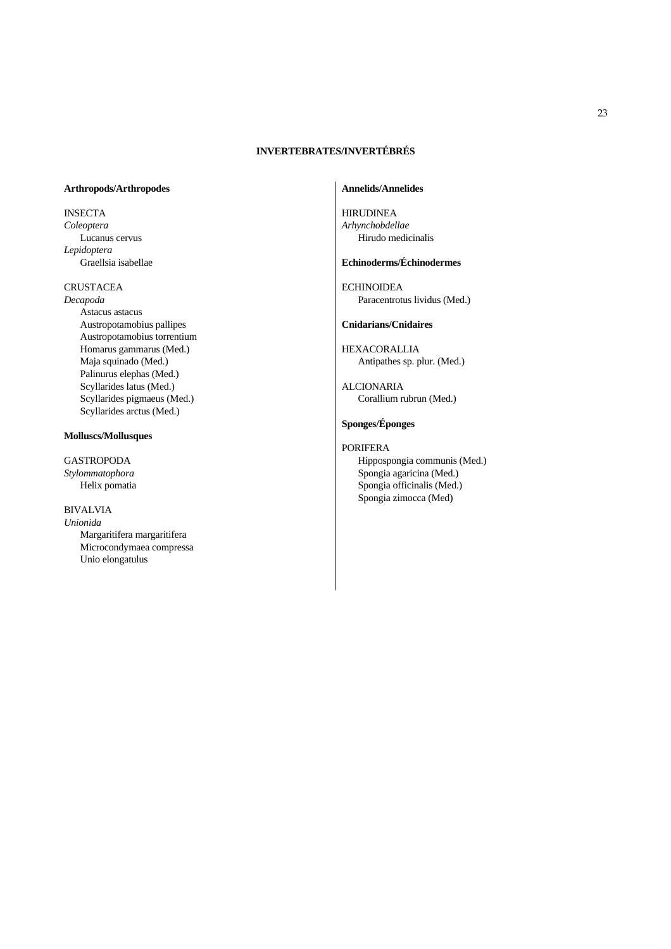# **INVERTEBRATES/INVERTÉBRÉS**

## **Arthropods/Arthropodes**

INSECTA *Coleoptera* Lucanus cervus *Lepidoptera*  Graellsia isabellae

## CRUSTACEA

*Decapoda* Astacus astacus Austropotamobius pallipes Austropotamobius torrentium Homarus gammarus (Med.) Maja squinado (Med.) Palinurus elephas (Med.) Scyllarides latus (Med.) Scyllarides pigmaeus (Med.) Scyllarides arctus (Med.)

## **Molluscs/Mollusques**

GASTROPODA *Stylommatophora* Helix pomatia

# BIVALVIA

*Unionida* Margaritifera margaritifera Microcondymaea compressa Unio elongatulus

# **Annelids/Annelides**

HIRUDINEA *Arhynchobdellae* Hirudo medicinalis

# **Echinoderms/Échinodermes**

ECHINOIDEA Paracentrotus lividus (Med.)

## **Cnidarians/Cnidaires**

HEXACORALLIA Antipathes sp. plur. (Med.)

ALCIONARIA Corallium rubrun (Med.)

# **Sponges/Éponges**

PORIFERA

 Hippospongia communis (Med.) Spongia agaricina (Med.) Spongia officinalis (Med.) Spongia zimocca (Med)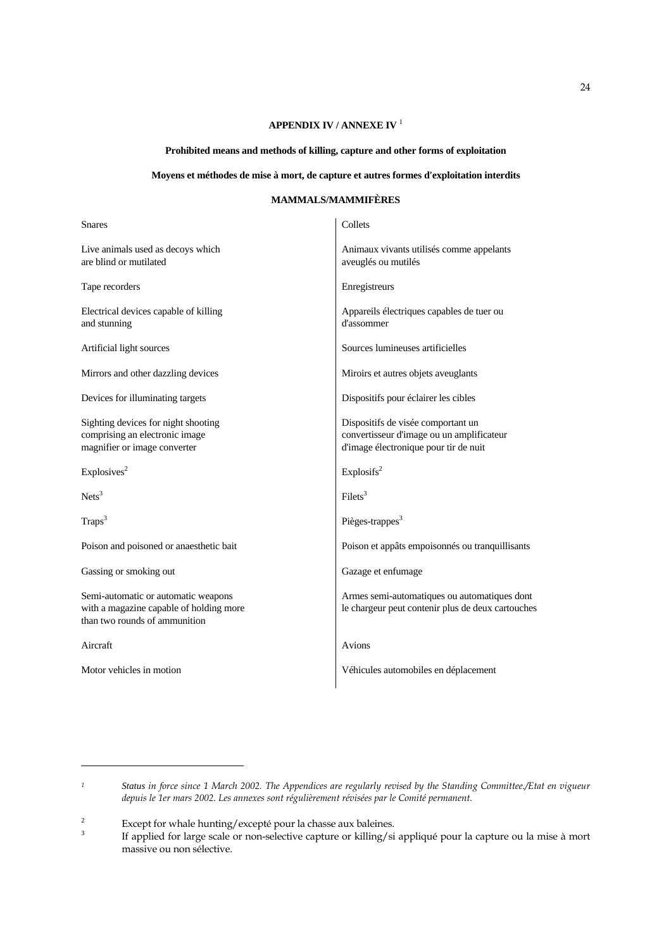# **APPENDIX IV / ANNEXE IV** <sup>1</sup>

# **Prohibited means and methods of killing, capture and other forms of exploitation**

# **Moyens et méthodes de mise à mort, de capture et autres formes d'exploitation interdits**

# **MAMMALS/MAMMIFÈRES**

| <b>Snares</b>                                                                                                   | Collets                                                                                                                  |
|-----------------------------------------------------------------------------------------------------------------|--------------------------------------------------------------------------------------------------------------------------|
| Live animals used as decoys which<br>are blind or mutilated                                                     | Animaux vivants utilisés comme appelants<br>aveuglés ou mutilés                                                          |
| Tape recorders                                                                                                  | Enregistreurs                                                                                                            |
| Electrical devices capable of killing<br>and stunning                                                           | Appareils électriques capables de tuer ou<br>d'assommer                                                                  |
| Artificial light sources                                                                                        | Sources lumineuses artificielles                                                                                         |
| Mirrors and other dazzling devices                                                                              | Miroirs et autres objets aveuglants                                                                                      |
| Devices for illuminating targets                                                                                | Dispositifs pour éclairer les cibles                                                                                     |
| Sighting devices for night shooting<br>comprising an electronic image<br>magnifier or image converter           | Dispositifs de visée comportant un<br>convertisseur d'image ou un amplificateur<br>d'image électronique pour tir de nuit |
| Explosives <sup>2</sup>                                                                                         | Explosifs <sup>2</sup>                                                                                                   |
| Nets <sup>3</sup>                                                                                               | $Filets^3$                                                                                                               |
| Traps <sup>3</sup>                                                                                              | Pièges-trappes <sup>3</sup>                                                                                              |
| Poison and poisoned or anaesthetic bait                                                                         | Poison et appâts empoisonnés ou tranquillisants                                                                          |
| Gassing or smoking out                                                                                          | Gazage et enfumage                                                                                                       |
| Semi-automatic or automatic weapons<br>with a magazine capable of holding more<br>than two rounds of ammunition | Armes semi-automatiques ou automatiques dont<br>le chargeur peut contenir plus de deux cartouches                        |
| Aircraft                                                                                                        | Avions                                                                                                                   |
| Motor vehicles in motion                                                                                        | Véhicules automobiles en déplacement                                                                                     |

*<sup>1</sup> Status in force since 1 March 2002. The Appendices are regularly revised by the Standing Committee./Etat en vigueur depuis le 1er mars 2002. Les annexes sont régulièrement révisées par le Comité permanent.*

<sup>&</sup>lt;sup>2</sup><br>Except for whale hunting/excepté pour la chasse aux baleines.<br>
If applied for large scale or non selective capture or killing/si

If applied for large scale or non-selective capture or killing/si appliqué pour la capture ou la mise à mort massive ou non sélective.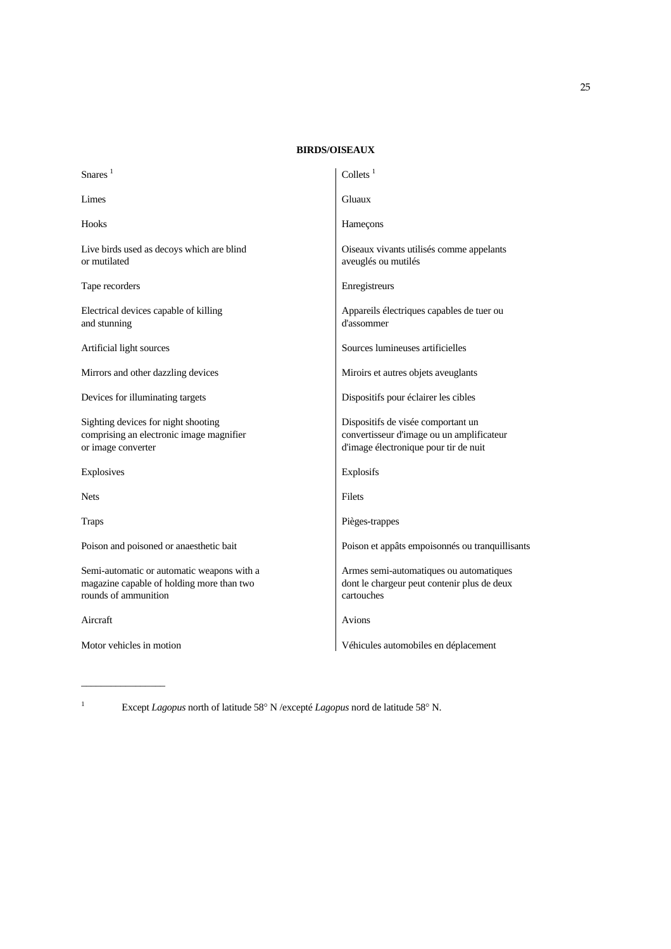# **BIRDS/OISEAUX**

| Snares $1$                                                                                                      | Collets $1$                                                                                                              |
|-----------------------------------------------------------------------------------------------------------------|--------------------------------------------------------------------------------------------------------------------------|
| Limes                                                                                                           | Gluaux                                                                                                                   |
| Hooks                                                                                                           | Hameçons                                                                                                                 |
| Live birds used as decoys which are blind<br>or mutilated                                                       | Oiseaux vivants utilisés comme appelants<br>aveuglés ou mutilés                                                          |
| Tape recorders                                                                                                  | Enregistreurs                                                                                                            |
| Electrical devices capable of killing<br>and stunning                                                           | Appareils électriques capables de tuer ou<br>d'assommer                                                                  |
| Artificial light sources                                                                                        | Sources lumineuses artificielles                                                                                         |
| Mirrors and other dazzling devices                                                                              | Miroirs et autres objets aveuglants                                                                                      |
| Devices for illuminating targets                                                                                | Dispositifs pour éclairer les cibles                                                                                     |
| Sighting devices for night shooting<br>comprising an electronic image magnifier<br>or image converter           | Dispositifs de visée comportant un<br>convertisseur d'image ou un amplificateur<br>d'image électronique pour tir de nuit |
| Explosives                                                                                                      | Explosifs                                                                                                                |
| <b>Nets</b>                                                                                                     | Filets                                                                                                                   |
| <b>Traps</b>                                                                                                    | Pièges-trappes                                                                                                           |
| Poison and poisoned or anaesthetic bait                                                                         | Poison et appâts empoisonnés ou tranquillisants                                                                          |
| Semi-automatic or automatic weapons with a<br>magazine capable of holding more than two<br>rounds of ammunition | Armes semi-automatiques ou automatiques<br>dont le chargeur peut contenir plus de deux<br>cartouches                     |
| Aircraft                                                                                                        | Avions                                                                                                                   |
| Motor vehicles in motion                                                                                        | Véhicules automobiles en déplacement                                                                                     |

1

 $\overline{\phantom{a}}$  , where  $\overline{\phantom{a}}$ 

Except *Lagopus* north of latitude 58° N /excepté *Lagopus* nord de latitude 58° N.